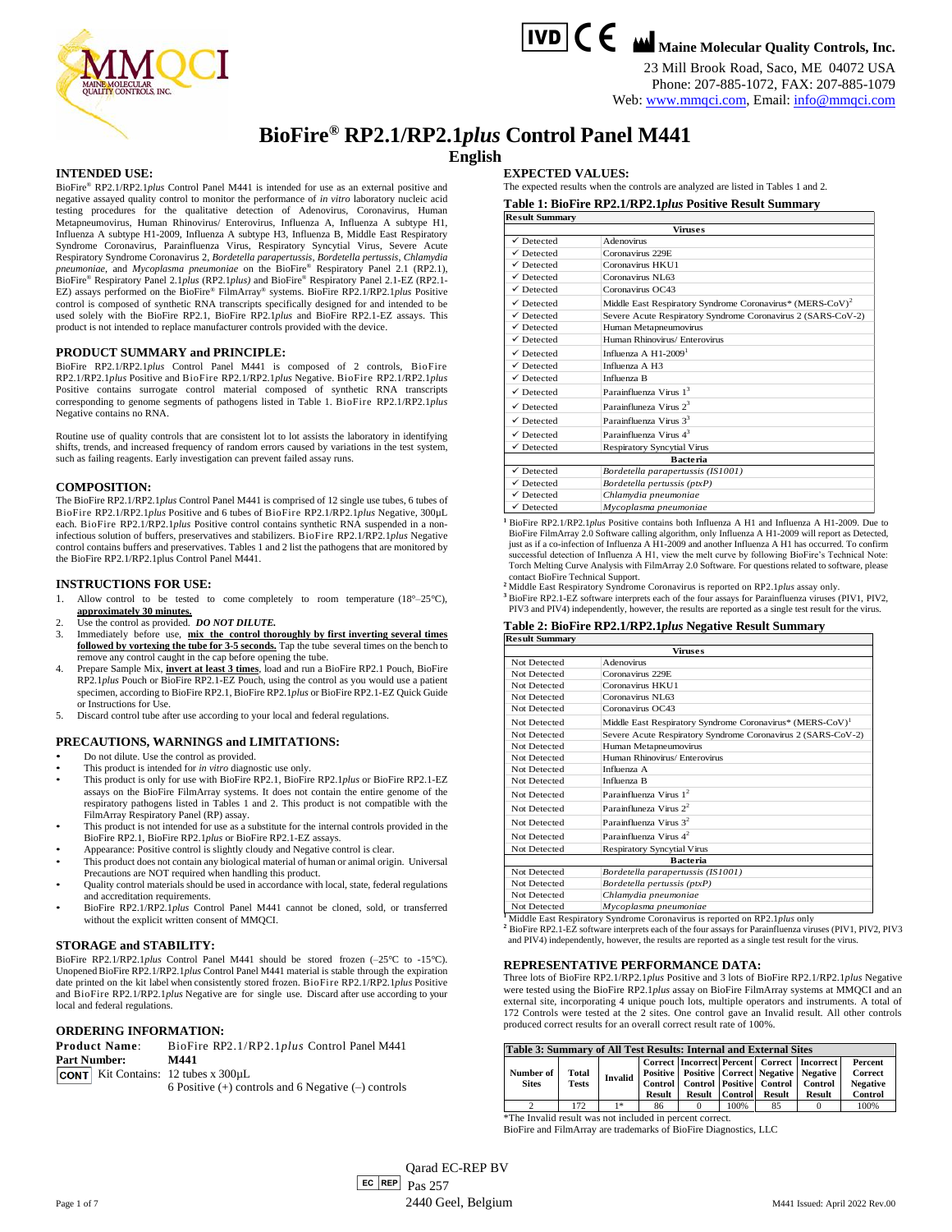

**TVD C C M** Maine Molecular Quality Controls, Inc.

23 Mill Brook Road, Saco, ME 04072 USA Phone: 207-885-1072, FAX: 207-885-1079

# Web[: www.mmqci.com,](http://www.mmqci.com/) Email[: info@mmqci.com](mailto:info@mmqci.com)

# **BioFire® RP2.1/RP2.1***plus* **Control Panel M441 English**

#### **INTENDED USE:**

BioFire® RP2.1/RP2.1*plus* Control Panel M441 is intended for use as an external positive and negative assayed quality control to monitor the performance of *in vitro* laboratory nucleic acid testing procedures for the qualitative detection of Adenovirus, Coronavirus, Human Metapneumovirus, Human Rhinovirus/ Enterovirus, Influenza A, Influenza A subtype H1, Influenza A subtype H1-2009, Influenza A subtype H3, Influenza B, Middle East Respiratory Syndrome Coronavirus, Parainfluenza Virus, Respiratory Syncytial Virus, Severe Acute Respiratory Syndrome Coronavirus 2, *Bordetella parapertussis, Bordetella pertussis, Chlamydia*<br>pneumoniae, and *Mycoplasma pneumoniae* on the BioFire® Respiratory Panel 2.1 (RP2.1),<br>BioFire® Respiratory Panel 2.1plus (RP2 EZ) assays performed on the BioFire® FilmArray® systems. BioFire RP2.1/RP2.1*plus* Positive control is composed of synthetic RNA transcripts specifically designed for and intended to be used solely with the BioFire RP2.1, BioFire RP2.1*plus* and BioFire RP2.1-EZ assays. This product is not intended to replace manufacturer controls provided with the device.

#### **PRODUCT SUMMARY and PRINCIPLE:**

BioFire RP2.1/RP2.1*plus* Control Panel M441 is composed of 2 controls, BioFire RP2.1/RP2.1*plus* Positive and BioFire RP2.1/RP2.1*plus* Negative. BioFire RP2.1/RP2.1*plus* Positive contains surrogate control material composed of synthetic RNA transcripts corresponding to genome segments of pathogens listed in Table 1. BioFire RP2.1/RP2.1*plus* Negative contains no RNA.

Routine use of quality controls that are consistent lot to lot assists the laboratory in identifying shifts, trends, and increased frequency of random errors caused by variations in the test system, such as failing reagents. Early investigation can prevent failed assay runs.

#### **COMPOSITION:**

The BioFire RP2.1/RP2.1*plus* Control Panel M441 is comprised of 12 single use tubes, 6 tubes of BioFire RP2.1/RP2.1*plus* Positive and 6 tubes of BioFire RP2.1/RP2.1*plus* Negative, 300µL each. BioFire RP2.1/RP2.1*plus* Positive control contains synthetic RNA suspended in a noninfectious solution of buffers, preservatives and stabilizers. BioFire RP2.1/RP2.1*plus* Negative control contains buffers and preservatives. Tables 1 and 2 list the pathogens that are monitored by the BioFire RP2.1/RP2.1plus Control Panel M441.

#### **INSTRUCTIONS FOR USE:**

- 1. Allow control to be tested to come completely to room temperature (18°–25°C), **approximately 30 minutes.**
- 2. Use the control as provided. *DO NOT DILUTE*.
- 3. Immediately before use, **mix the control thoroughly by first inverting several times followed by vortexing the tube for 3-5 seconds.** Tap the tube several times on the bench to remove any control caught in the cap before opening the tube.
- Prepare Sample Mix, *invert at least 3 times*, load and run a BioFire RP2.1 Pouch, BioFire RP2.1*plus* Pouch or BioFire RP2.1-EZ Pouch, using the control as you would use a patient specimen, according to BioFire RP2.1, BioFire RP2.1*plus* or BioFire RP2.1-EZ Quick Guide or Instructions for Use.
- 5. Discard control tube after use according to your local and federal regulations.

#### **PRECAUTIONS, WARNINGS and LIMITATIONS:**

- Do not dilute. Use the control as provided.
- This product is intended for *in vitro* diagnostic use only.
- This product is only for use with BioFire RP2.1, BioFire RP2.1*plus* or BioFire RP2.1-EZ assays on the BioFire FilmArray systems. It does not contain the entire genome of the respiratory pathogens listed in Tables 1 and 2. This product is not compatible with the
- FilmArray Respiratory Panel (RP) assay. This product is not intended for use as a substitute for the internal controls provided in the BioFire RP2.1, BioFire RP2.1*plus* or BioFire RP2.1-EZ assays.
- Appearance: Positive control is slightly cloudy and Negative control is clear.
- This product does not contain any biological material of human or animal origin. Universal Precautions are NOT required when handling this product.
- Quality control materials should be used in accordance with local, state, federal regulations and accreditation requirements.
- BioFire RP2.1/RP2.1*plus* Control Panel M441 cannot be cloned, sold, or transferred without the explicit written consent of MMQCI.

#### **STORAGE and STABILITY:**

BioFire RP2.1/RP2.1*plus* Control Panel M441 should be stored frozen (–25°C to -15°C). Unopened BioFire RP2.1/RP2.1*plus* Control Panel M441 material is stable through the expiration date printed on the kit label when consistently stored frozen. BioFire RP2.1/RP2.1*plus* Positive and BioFire RP2.1/RP2.1*plus* Negative are for single use. Discard after use according to your local and federal regulations.

#### **ORDERING INFORMATION:**

| <b>Product Name:</b> |  | BioFire RP2.1/RP2.1plus Control Panel M441                    |
|----------------------|--|---------------------------------------------------------------|
| <b>Part Number:</b>  |  | M441                                                          |
|                      |  | <b>CONT</b> Kit Contains: $12 \text{ tubes} \times 300 \mu L$ |
|                      |  | 6 Positive $(+)$ controls and 6 Negative $(-)$ controls       |

**EXPECTED VALUES:**

The expected results when the controls are analyzed are listed in Tables 1 and 2.

**Table 1: BioFire RP2.1/RP2.1***plus* **Positive Result Summary**

| <b>Result Summary</b> |                                                                       |  |  |  |  |  |
|-----------------------|-----------------------------------------------------------------------|--|--|--|--|--|
|                       | <b>Viruses</b>                                                        |  |  |  |  |  |
| $\checkmark$ Detected | Adenovirus                                                            |  |  |  |  |  |
| $\checkmark$ Detected | Coronavirus 229E                                                      |  |  |  |  |  |
| $\checkmark$ Detected | Coronavirus HKU1                                                      |  |  |  |  |  |
| $\checkmark$ Detected | Coronavirus NL63                                                      |  |  |  |  |  |
| $\checkmark$ Detected | Coronavirus OC43                                                      |  |  |  |  |  |
| $\checkmark$ Detected | Middle East Respiratory Syndrome Coronavirus* (MERS-CoV) <sup>2</sup> |  |  |  |  |  |
| $\checkmark$ Detected | Severe Acute Respiratory Syndrome Coronavirus 2 (SARS-CoV-2)          |  |  |  |  |  |
| $\checkmark$ Detected | Human Metapneumovirus                                                 |  |  |  |  |  |
| $\checkmark$ Detected | Human Rhinovirus/ Enterovirus                                         |  |  |  |  |  |
| $\checkmark$ Detected | Influenza A $H1-2009$ <sup>1</sup>                                    |  |  |  |  |  |
| $\checkmark$ Detected | Influenza A H3                                                        |  |  |  |  |  |
| $\checkmark$ Detected | Influenza B                                                           |  |  |  |  |  |
| $\checkmark$ Detected | Parainfluenza Virus $13$                                              |  |  |  |  |  |
| $\checkmark$ Detected | Parainfluneza Virus $2^3$                                             |  |  |  |  |  |
| $\checkmark$ Detected | Parainfluenza Virus 3 <sup>3</sup>                                    |  |  |  |  |  |
| $\checkmark$ Detected | Parainfluenza Virus $4^3$                                             |  |  |  |  |  |
| $\checkmark$ Detected | <b>Respiratory Syncytial Virus</b>                                    |  |  |  |  |  |
|                       | <b>Bacteria</b>                                                       |  |  |  |  |  |
| $\checkmark$ Detected | Bordetella parapertussis (IS1001)                                     |  |  |  |  |  |
| $\checkmark$ Detected | Bordetella pertussis (ptxP)                                           |  |  |  |  |  |
| $\checkmark$ Detected | Chlamydia pneumoniae                                                  |  |  |  |  |  |
| $\checkmark$ Detected | Myconlasma pneumoniae                                                 |  |  |  |  |  |

**<sup>1</sup>** BioFire RP2.1/RP2.1*plus* Positive contains both Influenza A H1 and Influenza A H1-2009. Due to BioFire FilmArray 2.0 Software calling algorithm, only Influenza A H1-2009 will report as Detected, just as if a co-infection of Influenza A H1-2009 and another Influenza A H1 has occurred. To confirm successful detection of Influenza A H1, view the melt curve by following BioFire's Technical Note: Torch Melting Curve Analysis with FilmArray 2.0 Software. For questions related to software, please contact BioFire Technical Support. **<sup>2</sup>** Middle East Respiratory Syndrome Coronavirus is reported on RP2.1*plus* assay only.

**<sup>3</sup>** BioFire RP2.1-EZ software interprets each of the four assays for Parainfluenza viruses (PIV1, PIV2, PIV3 and PIV4) independently, however, the results are reported as a single test result for the virus.

# **Table 2: BioFire RP2.1/RP2.1***plus* **Negative Result Summary**

| <b>Result Summary</b> |                                                                                                             |  |  |  |
|-----------------------|-------------------------------------------------------------------------------------------------------------|--|--|--|
|                       | Viruses                                                                                                     |  |  |  |
| Not Detected          | Adenovirus                                                                                                  |  |  |  |
| Not Detected          | Coronavirus 229E                                                                                            |  |  |  |
| Not Detected          | Coronavirus HKU1                                                                                            |  |  |  |
| Not Detected          | Coronavirus NL63                                                                                            |  |  |  |
| Not Detected          | Coronavirus OC43                                                                                            |  |  |  |
| Not Detected          | Middle East Respiratory Syndrome Coronavirus* (MERS-CoV) <sup>1</sup>                                       |  |  |  |
| Not Detected          | Severe Acute Respiratory Syndrome Coronavirus 2 (SARS-CoV-2)                                                |  |  |  |
| Not Detected          | Human Metapneumovirus                                                                                       |  |  |  |
| Not Detected          | Human Rhinovirus/ Enterovirus                                                                               |  |  |  |
| Not Detected          | Influenza A                                                                                                 |  |  |  |
| Not Detected          | Influenza B                                                                                                 |  |  |  |
| Not Detected          | Parainfluenza Virus $1^2$                                                                                   |  |  |  |
| Not Detected          | Parainfluneza Virus $2^2$                                                                                   |  |  |  |
| Not Detected          | Parainfluenza Virus $3^2$                                                                                   |  |  |  |
| Not Detected          | Parainfluenza Virus $4^2$                                                                                   |  |  |  |
| Not Detected          | <b>Respiratory Syncytial Virus</b>                                                                          |  |  |  |
|                       | <b>Bacteria</b>                                                                                             |  |  |  |
| Not Detected          | Bordetella parapertussis (IS1001)                                                                           |  |  |  |
| Not Detected          | Bordetella pertussis (ptxP)                                                                                 |  |  |  |
| Not Detected          | Chlamydia pneumoniae                                                                                        |  |  |  |
| Not Detected          | Mycoplasma pneumoniae<br>$^1$ Middle East Bosnipstory Syndroma Coronavirus is reported on BB2 $1$ nlys only |  |  |  |

**<sup>1</sup>** Middle East Respiratory Syndrome Coronavirus is reported on RP2.1*plus* only **<sup>2</sup>** BioFire RP2.1-EZ software interprets each of the four assays for Parainfluenza viruses (PIV1, PIV2, PIV3 and PIV4) independently, however, the results are reported as a single test result for the virus.

#### **REPRESENTATIVE PERFORMANCE DATA:**

Three lots of BioFire RP2.1/RP2.1*plus* Positive and 3 lots of BioFire RP2.1/RP2.1*plus* Negative were tested using the BioFire RP2.1*plus* assay on BioFire FilmArray systems at MMQCI and an external site, incorporating 4 unique pouch lots, multiple operators and instruments. A total of 172 Controls were tested at the 2 sites. One control gave an Invalid result. All other controls produced correct results for an overall correct result rate of 100%.

|  | Table 3: Summary of All Test Results: Internal and External Sites |                |                |        |  |                       |        |                                                              |                 |
|--|-------------------------------------------------------------------|----------------|----------------|--------|--|-----------------------|--------|--------------------------------------------------------------|-----------------|
|  |                                                                   |                | <b>Invalid</b> |        |  |                       |        | Correct Incorrect Percent Correct Incorrect                  | Percent         |
|  | Number of<br><b>Sites</b>                                         | Total<br>Tests |                |        |  |                       |        | <b>Positive   Positive   Correct   Negative   Negative  </b> | Correct         |
|  |                                                                   |                |                |        |  |                       |        | Control Control Positive Control Control                     | <b>Negative</b> |
|  |                                                                   |                |                | Result |  | <b>Result Control</b> | Result | Result                                                       | Control         |
|  |                                                                   | 172            | 1 *            | 86     |  | 100%                  | 85     |                                                              | 100%            |

\*The Invalid result was not included in percent correct.

BioFire and FilmArray are trademarks of BioFire Diagnostics, LLC

 $\left| \begin{array}{c|c} \texttt{EC} & \texttt{REP} \end{array} \right|$  Pas 257 Qarad EC-REP BV Page 1 of 7 M441 Issued: April 2022 Rev.00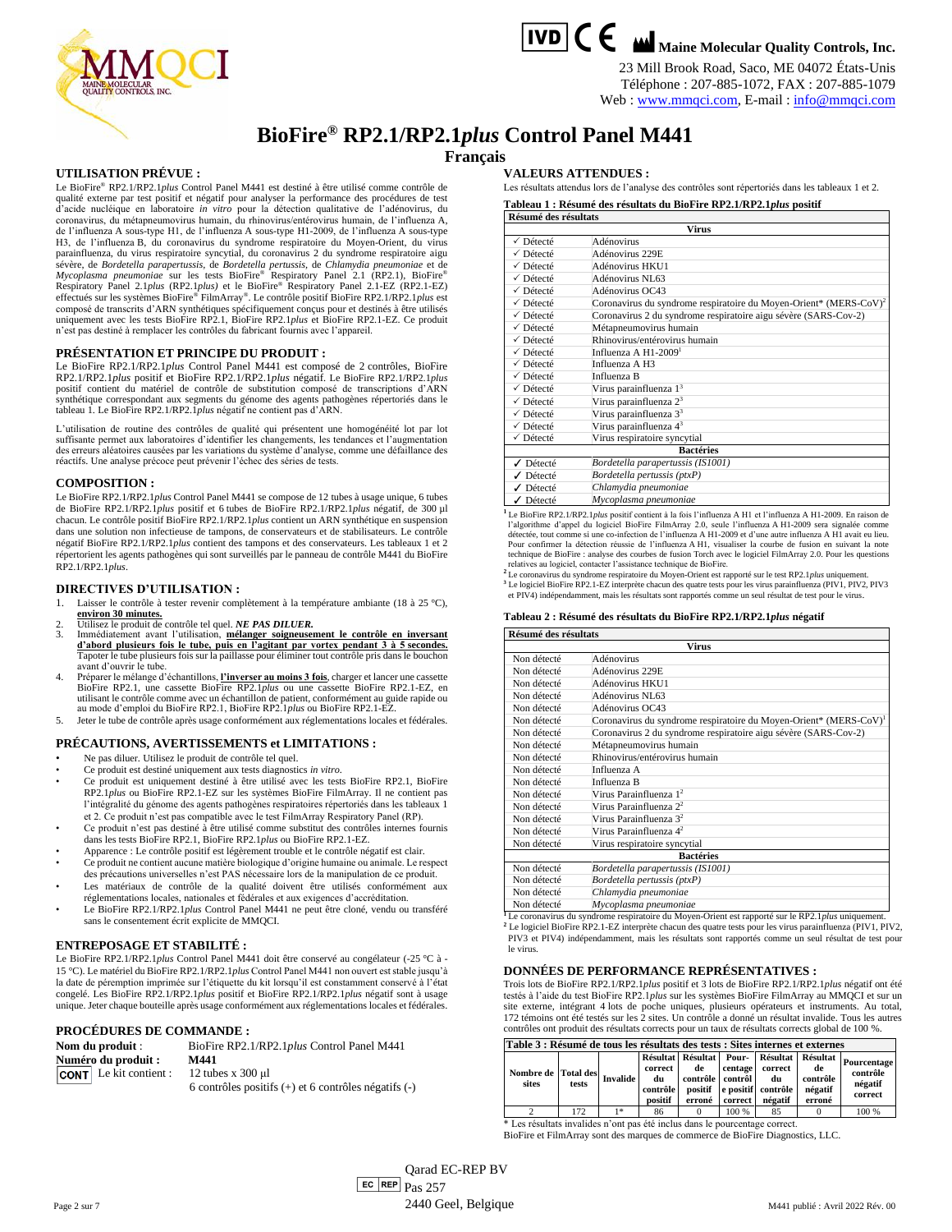

# **TVD C C M** Maine Molecular Quality Controls, Inc.

23 Mill Brook Road, Saco, ME 04072 États-Unis Téléphone : 207-885-1072, FAX : 207-885-1079

# Web : [www.mmqci.com,](http://www.mmqci.com/) E-mail [: info@mmqci.com](mailto:info@mmqci.com)

# **BioFire® RP2.1/RP2.1***plus* **Control Panel M441**

**Français**

#### **UTILISATION PRÉVUE :**

Le BioFire® RP2.1/RP2.1*plus* Control Panel M441 est destiné à être utilisé comme contrôle de qualité externe par test positif et négatif pour analyser la performance des procédures de test d'acide nucléique en laboratoire *in vitro* pour la détection qualitative de l'adénovirus, du coronavirus, du métapneumovirus humain, du rhinovirus/entérovirus humain, de l'influenza A, de l'influenza A sous-type H1, de l'influenza A sous-type H1-2009, de l'influenza A sous-type H3, de l'influenza B, du coronavirus du syndrome respiratoire du Moyen-Orient, du virus parainfluenza, du virus respiratoire syncytial, du coronavirus 2 du syndrome respiratoire aigu sévère, de *Bordetella parapertussis,* de *Bordetella pertussis,* de *Chlamydia pneumoniae* et de *Mycoplasma pneumoniae* sur les tests BioFire® Respiratory Panel 2.1 (RP2.1), BioFire® Respiratory Panel 2.1*plus* (RP2.1*plus)* et le BioFire® Respiratory Panel 2.1-EZ (RP2.1-EZ) effectués sur les systèmes BioFire® FilmArray® . Le contrôle positif BioFire RP2.1/RP2.1*plus* est composé de transcrits d'ARN synthétiques spécifiquement conçus pour et destinés à être utilisés uniquement avec les tests BioFire RP2.1, BioFire RP2.1*plus* et BioFire RP2.1-EZ. Ce produit n'est pas destiné à remplacer les contrôles du fabricant fournis avec l'appareil.

#### **PRÉSENTATION ET PRINCIPE DU PRODUIT :**

Le BioFire RP2.1/RP2.1*plus* Control Panel M441 est composé de 2 contrôles, BioFire RP2.1/RP2.1*plus* positif et BioFire RP2.1/RP2.1*plus* négatif. Le BioFire RP2.1/RP2.1*plus* positif contient du matériel de contrôle de substitution composé de transcriptions d'ARN synthétique correspondant aux segments du génome des agents pathogènes répertoriés dans le tableau 1. Le BioFire RP2.1/RP2.1*plus* négatif ne contient pas d'ARN.

L'utilisation de routine des contrôles de qualité qui présentent une homogénéité lot par lot suffisante permet aux laboratoires d'identifier les changements, les tendances et l'augmentation des erreurs aléatoires causées par les variations du système d'analyse, comme une défaillance des réactifs. Une analyse précoce peut prévenir l'échec des séries de tests.

#### **COMPOSITION :**

Le BioFire RP2.1/RP2.1*plus* Control Panel M441 se compose de 12 tubes à usage unique, 6 tubes de BioFire RP2.1/RP2.1*plus* positif et 6 tubes de BioFire RP2.1/RP2.1*plus* négatif, de 300 µl chacun. Le contrôle positif BioFire RP2.1/RP2.1*plus* contient un ARN synthétique en suspension dans une solution non infectieuse de tampons, de conservateurs et de stabilisateurs. Le contrôle négatif BioFire RP2.1/RP2.1*plus* contient des tampons et des conservateurs. Les tableaux 1 et 2 répertorient les agents pathogènes qui sont surveillés par le panneau de contrôle M441 du BioFire RP2.1/RP2.1*plus*.

## **DIRECTIVES D'UTILISATION :**

- 1. Laisser le contrôle à tester revenir complètement à la température ambiante (18 à 25 °C),
- **environ 30 minutes.** 2. Utilisez le produit de contrôle tel quel. *NE PAS DILUER.*
- 3. Immédiatement avant l'utilisation, **mélanger soigneusement le contrôle en inversant d'abord plusieurs fois le tube, puis en l'agitant par vortex pendant 3 à 5 secondes.** Tapoter le tube plusieurs fois sur la paillasse pour éliminer tout contrôle pris dans le bouchon avant d'ouvrir le tube.
- 4. Préparer le mélange d'échantillons, *L'inverser au moins 3 fois*, charger et lancer une cassette BioFire RP2.1, une cassette BioFire RP2.1*ED*, en<br>BioFire RP2.1, une cassette BioFire RP2.1*plus* ou une cassette BioFire au mode d'emploi du BioFire RP2.1, BioFire RP2.1*plus* ou BioFire RP2.1-EZ.
- 5. Jeter le tube de contrôle après usage conformément aux réglementations locales et fédérales.

#### **PRÉCAUTIONS, AVERTISSEMENTS et LIMITATIONS :**

• Ne pas diluer. Utilisez le produit de contrôle tel quel.

sans le consentement écrit explicite de MMQCI.

- Ce produit est destiné uniquement aux tests diagnostics *in vitro*.
- Ce produit est uniquement destiné à être utilisé avec les tests BioFire RP2.1, BioFire RP2.1*plus* ou BioFire RP2.1-EZ sur les systèmes BioFire FilmArray. Il ne contient pas l'intégralité du génome des agents pathogènes respiratoires répertoriés dans les tableaux 1 et 2. Ce produit n'est pas compatible avec le test FilmArray Respiratory Panel (RP).
- Ce produit n'est pas destiné à être utilisé comme substitut des contrôles internes fournis dans les tests BioFire RP2.1, BioFire RP2.1*plus* ou BioFire RP2.1-EZ.
- Apparence : Le contrôle positif est légèrement trouble et le contrôle négatif est clair.
- Ce produit ne contient aucune matière biologique d'origine humaine ou animale. Le respect des précautions universelles n'est PAS nécessaire lors de la manipulation de ce produit. Les matériaux de contrôle de la qualité doivent être utilisés conformément aux
- réglementations locales, nationales et fédérales et aux exigences d'accréditation. Le BioFire RP2.1/RP2.1*plus* Control Panel M441 ne peut être cloné, vendu ou transféré

#### **ENTREPOSAGE ET STABILITÉ :**

Le BioFire RP2.1/RP2.1*plus* Control Panel M441 doit être conservé au congélateur (-25 °C à - 15 °C). Le matériel du BioFire RP2.1/RP2.1*plus* Control Panel M441 non ouvert est stable jusqu'à la date de péremption imprimée sur l'étiquette du kit lorsqu'il est constamment conservé à l'état congelé. Les BioFire RP2.1/RP2.1*plus* positif et BioFire RP2.1/RP2.1*plus* négatif sont à usage unique. Jeter chaque bouteille après usage conformément aux réglementations locales et fédérales.

#### **PROCÉDURES DE COMMANDE :**

| Nom du produit :              | BioFire RP2.1/RP2.1plus Control Panel M441               |  |  |  |  |
|-------------------------------|----------------------------------------------------------|--|--|--|--|
| Numéro du produit :           | M441                                                     |  |  |  |  |
| <b>CONT</b> Le kit contient : | 12 tubes $x$ 300 $\mu$ 1                                 |  |  |  |  |
|                               | 6 contrôles positifs $(+)$ et 6 contrôles négatifs $(-)$ |  |  |  |  |

**VALEURS ATTENDUES :**

Les résultats attendus lors de l'analyse des contrôles sont répertoriés dans les tableaux 1 et 2. **Tableau 1 : Résumé des résultats du BioFire RP2.1/RP2.1***plus* **positif**

#### **Résumé des résultats**

| <b>Virus</b> |                                                                               |  |  |  |  |
|--------------|-------------------------------------------------------------------------------|--|--|--|--|
| √ Détecté    | Adénovirus                                                                    |  |  |  |  |
| √ Détecté    | Adénovirus 229E                                                               |  |  |  |  |
| √ Détecté    | Adénovirus HKU1                                                               |  |  |  |  |
| √ Détecté    | Adénovirus NL63                                                               |  |  |  |  |
| √ Détecté    | Adénovirus OC43                                                               |  |  |  |  |
| √ Détecté    | Coronavirus du syndrome respiratoire du Moyen-Orient* (MERS-CoV) <sup>2</sup> |  |  |  |  |
| √ Détecté    | Coronavirus 2 du syndrome respiratoire aigu sévère (SARS-Cov-2)               |  |  |  |  |
| √ Détecté    | Métapneumovirus humain                                                        |  |  |  |  |
| √ Détecté    | Rhinovirus/entérovirus humain                                                 |  |  |  |  |
| √ Détecté    | Influenza A $H1-20091$                                                        |  |  |  |  |
| √ Détecté    | Influenza A H3                                                                |  |  |  |  |
| √ Détecté    | Influenza B                                                                   |  |  |  |  |
| √ Détecté    | Virus parainfluenza 1 <sup>3</sup>                                            |  |  |  |  |
| √ Détecté    | Virus parainfluenza 2 <sup>3</sup>                                            |  |  |  |  |
| √ Détecté    | Virus parainfluenza 3 <sup>3</sup>                                            |  |  |  |  |
| √ Détecté    | Virus parainfluenza 4 <sup>3</sup>                                            |  |  |  |  |
| √ Détecté    | Virus respiratoire syncytial                                                  |  |  |  |  |
|              | <b>Bactéries</b>                                                              |  |  |  |  |
| √ Détecté    | Bordetella parapertussis (IS1001)                                             |  |  |  |  |
| Détecté      | Bordetella pertussis (ptxP)                                                   |  |  |  |  |
| ✔ Détecté    | Chlamydia pneumoniae                                                          |  |  |  |  |
| ✔ Détecté    | Mycoplasma pneumoniae                                                         |  |  |  |  |
| $\mathbf{r}$ |                                                                               |  |  |  |  |

**<sup>1</sup>**Le BioFire RP2.1/RP2.1*plus* positif contient à la fois l'influenza A H1 et l'influenza A H1-2009. En raison de l'algorithme d'appel du logiciel BioFire FilmArray 2.0, seule l'influenza A H1-2009 sera signalée comme détectée, tout comme si une co-infection de l'influenza A H1-2009 et d'une autre influenza A H1 avait eu lieu. Pour confirmer la détection réussie de l'influenza A H1, visualiser la courbe de fusion en suivant la note technique de BioFire : analyse des courbes de fusion Torch avec le logiciel FilmArray 2.0. Pour les questions relatives au logiciel, contacter l'assistance technique de BioFire. **<sup>2</sup>**Le coronavirus du syndrome respiratoire du Moyen-Orient est rapporté sur le test RP2.1*plus* uniquement.

<sup>3</sup> Le logiciel BioFire RP2.1-EZ interprète chacun des quatre tests pour les virus parainfluenza (PIV1, PIV2, PIV3 et PIV4) indépendamment, mais les résultats sont rapportés comme un seul résultat de test pour le virus.

#### **Tableau 2 : Résumé des résultats du BioFire RP2.1/RP2.1***plus* **négatif**

| Résumé des résultats |                                                                                                   |  |  |  |  |  |
|----------------------|---------------------------------------------------------------------------------------------------|--|--|--|--|--|
|                      | <b>Virus</b>                                                                                      |  |  |  |  |  |
| Non détecté          | Adénovirus                                                                                        |  |  |  |  |  |
| Non détecté          | Adénovirus 229E                                                                                   |  |  |  |  |  |
| Non détecté          | Adénovirus HKU1                                                                                   |  |  |  |  |  |
| Non détecté          | Adénovirus NL63                                                                                   |  |  |  |  |  |
| Non détecté          | Adénovirus OC43                                                                                   |  |  |  |  |  |
| Non détecté          | Coronavirus du syndrome respiratoire du Moyen-Orient* (MERS-CoV) <sup>1</sup>                     |  |  |  |  |  |
| Non détecté          | Coronavirus 2 du syndrome respiratoire aigu sévère (SARS-Cov-2)                                   |  |  |  |  |  |
| Non détecté          | Métapneumovirus humain                                                                            |  |  |  |  |  |
| Non détecté          | Rhinovirus/entérovirus humain                                                                     |  |  |  |  |  |
| Non détecté          | Influenza A                                                                                       |  |  |  |  |  |
| Non détecté          | Influenza B                                                                                       |  |  |  |  |  |
| Non détecté          | Virus Parainfluenza 1 <sup>2</sup>                                                                |  |  |  |  |  |
| Non détecté          | Virus Parainfluenza 2 <sup>2</sup>                                                                |  |  |  |  |  |
| Non détecté          | Virus Parainfluenza 3 <sup>2</sup>                                                                |  |  |  |  |  |
| Non détecté          | Virus Parainfluenza 4 <sup>2</sup>                                                                |  |  |  |  |  |
| Non détecté          | Virus respiratoire syncytial                                                                      |  |  |  |  |  |
|                      | <b>Bactéries</b>                                                                                  |  |  |  |  |  |
| Non détecté          | Bordetella parapertussis (IS1001)                                                                 |  |  |  |  |  |
| Non détecté          | Bordetella pertussis (ptxP)                                                                       |  |  |  |  |  |
| Non détecté          | Chlamydia pneumoniae                                                                              |  |  |  |  |  |
| Non détecté          | Mycoplasma pneumoniae                                                                             |  |  |  |  |  |
|                      | Le coronavirus du syndrome respiratoire du Moyen-Orient est rapporté sur le RP2.1plus uniquement. |  |  |  |  |  |

<sup>2</sup> Le logiciel BioFire RP2.1-EZ interprète chacun des quatre tests pour les virus parainfluenza (PIV1, PIV2, PIV3 et PIV4) indépendamment, mais les résultats sont rapportés comme un seul résultat de test pour le virus.

# **DONNÉES DE PERFORMANCE REPRÉSENTATIVES :**

Trois lots de BioFire RP2.1/RP2.1*plus* positif et 3 lots de BioFire RP2.1/RP2.1*plus* négatif ont été testés à l'aide du test BioFire RP2.1*plus* sur les systèmes BioFire FilmArray au MMQCI et sur un site externe, intégrant 4 lots de poche uniques, plusieurs opérateurs et instruments. Au total, 172 témoins ont été testés sur les 2 sites. Un contrôle a donné un résultat invalide. Tous les autres contrôles ont produit des résultats corrects pour un taux de résultats corrects global de 100 %.

| Table 3 : Résumé de tous les résultats des tests : Sites internes et externes |       |                 |                                                           |                                                         |                    |                                                |                                                                |                                               |
|-------------------------------------------------------------------------------|-------|-----------------|-----------------------------------------------------------|---------------------------------------------------------|--------------------|------------------------------------------------|----------------------------------------------------------------|-----------------------------------------------|
| Nombre de Total des<br>sites                                                  | tests | <b>Invalide</b> | <b>Résultat</b><br>correct  <br>du<br>contrôle<br>positif | Résultat<br>de<br>contrôle contrôl<br>positif<br>erroné | centage<br>correct | correct<br>du<br>e positif contrôle<br>négatif | Pour- Résultat Résultat<br>de<br>contrôle<br>négatif<br>erroné | Pourcentage<br>contrôle<br>négatif<br>correct |
|                                                                               | 172   | $1*$            | 86                                                        |                                                         | 100 %              | 85                                             |                                                                | 100 %                                         |

\* Les résultats invalides n'ont pas été inclus dans le pourcentage correct. BioFire et FilmArray sont des marques de commerce de BioFire Diagnostics, LLC.

Page 2 sur 7  $\left| \begin{array}{c} \text{EC} \end{array} \right|$  REP Qarad EC-REP BV  $\boxed{\text{ec}$  REP  $_{\text{Pas}}$   $_{257}$ 2440 Geel, Belgique M441 publié : Avril 2022 Rév. 00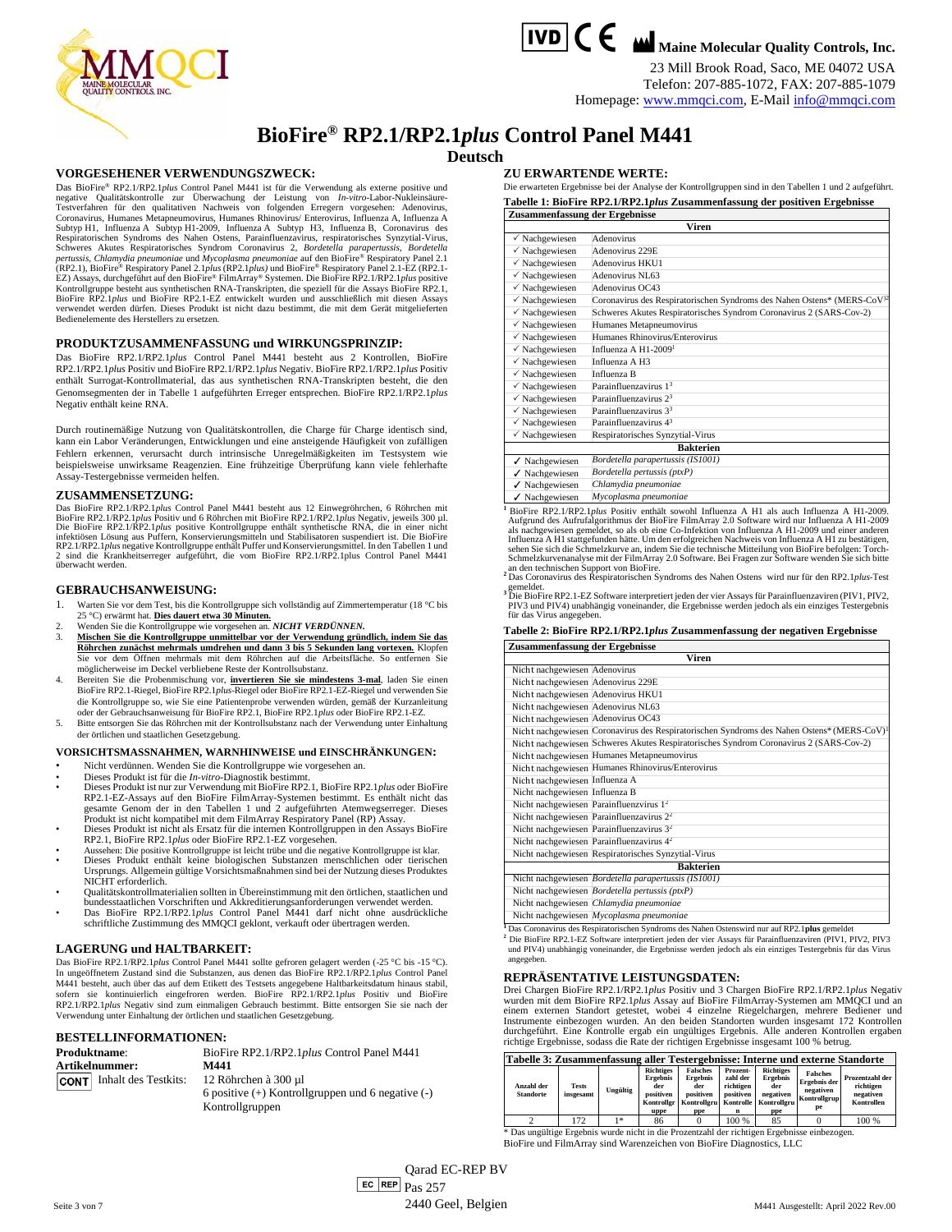

23 Mill Brook Road, Saco, ME 04072 USA Telefon: 207-885-1072, FAX: 207-885-1079 Homepage[: www.mmqci.com,](http://www.mmqci.com/) E-Mai[l info@mmqci.com](mailto:info@mmqci.com)



# **BioFire® RP2.1/RP2.1***plus* **Control Panel M441**

**Deutsch**

#### **VORGESEHENER VERWENDUNGSZWECK:**

Das BioFire® RP2.1/RP2.1*plus* Control Panel M441 ist für die Verwendung als externe positive und negative Qualitätskontrolle zur Überwachung der Leistung von *In-vitro*-Labor-Nukleinsäure-Testverfahren für den qualitativen Nachweis von folgenden Erregern vorgesehen: Adenovirus, Coronavirus, Humanes Metapneumovirus, Humanes Rhinovirus/ Enterovirus, Influenza A, Influenza A Subtyp H1, Influenza A Subtyp H1-2009, Influenza A Subtyp H3, Influenza B, Coronavirus des Respiratorischen Syndroms des Nahen Ostens, Parainfluenzavirus, respiratorisches Synzytial-Virus, Schweres Akutes Respiratorisches Syndrom Coronavirus 2, *Bordetella parapertussis, Bordetella parapertussis, Chlamydia pneum* BioFire RP2.1*plus* und BioFire RP2.1-EZ entwickelt wurden und ausschließlich mit diesen Assays verwendet werden dürfen. Dieses Produkt ist nicht dazu bestimmt, die mit dem Gerät mitgelieferten Bedienelemente des Herstellers zu ersetzen.

## **PRODUKTZUSAMMENFASSUNG und WIRKUNGSPRINZIP:**

Das BioFire RP2.1/RP2.1*plus* Control Panel M441 besteht aus 2 Kontrollen, BioFire RP2.1/RP2.1*plus* Positiv und BioFire RP2.1/RP2.1*plus* Negativ. BioFire RP2.1/RP2.1*plus* Positiv enthält Surrogat-Kontrollmaterial, das aus synthetischen RNA-Transkripten besteht, die den Genomsegmenten der in Tabelle 1 aufgeführten Erreger entsprechen. BioFire RP2.1/RP2.1*plus* Negativ enthält keine RNA.

Durch routinemäßige Nutzung von Qualitätskontrollen, die Charge für Charge identisch sind, kann ein Labor Veränderungen, Entwicklungen und eine ansteigende Häufigkeit von zufälligen Fehlern erkennen, verursacht durch intrinsische Unregelmäßigkeiten im Testsystem wie beispielsweise unwirksame Reagenzien. Eine frühzeitige Überprüfung kann viele fehlerhafte Assay-Testergebnisse vermeiden helfen.

#### **ZUSAMMENSETZUNG:**

Das BioFire RP2.1/RP2.1*plus* Control Panel M441 besteht aus 12 Einwegröhrchen, 6 Röhrchen mit<br>BioFire RP2.1/RP2.1*plus* Positiv und 6 Röhrchen mit BioFire RP2.1/RP2.1*plus* Negativ, jeweils 300 µl.<br>Die BioFire RP2.1/RP2.1 infektiösen Lösung aus Puffern, Konservierungsmitteln und Stabilisatoren suspendiert ist. Die BioFire<br>RP2.1/RP2.1.pl*us* negative Kontrollgruppe enthält Puffer und Konservierungsmittel. In den Tabellen 1 und<br>2. sind. die K überwacht werden.

## **GEBRAUCHSANWEISUNG:**

- 1. Warten Sie vor dem Test, bis die Kontrollgruppe sich vollständig auf Zimmertemperatur (18 °C bis 25 °C) erwärmt hat. **Dies dauert etwa 30 Minuten.**
- 2. Wenden Sie die Kontrollgruppe wie vorgesehen an. *NICHT VERDÜNNEN.*
- 3. **Mischen Sie die Kontrollgruppe unmittelbar vor der Verwendung gründlich, indem Sie das**  Röhrchen zunächst mehrmals umdrehen und dann 3 bis 5 Sekunden lang vortexen. Klopfe Sie vor dem Öffnen mehrmals mit dem Röhrchen auf die Arbeitsfläche. So entfernen Sie möglicherweise im Deckel verbliebene Reste der Kontrollsubstanz.
- 4. Bereiten Sie die Probenmischung vor, **invertieren Sie sie mindestens 3-mal**, laden Sie einen BioFire RP2.1-Riegel, BioFire RP2.1*plus*-Riegel oder BioFire RP2.1-EZ-Riegel und verwenden Sie die Kontrollgruppe so, wie Si
- 5. Bitte entsorgen Sie das Röhrchen mit der Kontrollsubstanz nach der Verwendung unter Einhaltung der örtlichen und staatlichen Gesetzgebung.

#### **VORSICHTSMASSNAHMEN, WARNHINWEISE und EINSCHRÄNKUNGEN:**

- Nicht verdünnen. Wenden Sie die Kontrollgruppe wie vorgesehen an.
- Dieses Produkt ist für die *In-vitro*-Diagnostik bestimmt.
- Dieses Produkt ist nur zur Verwendung mit BioFire RP2.1, BioFire RP2.1*plus* oder BioFire RP2.1-EZ-Assays auf den BioFire FilmArray-Systemen bestimmt. Es enthält nicht das<br>gesamte Genom der in den Tabellen 1 und 2 aufgef Produkt ist nicht kompatibel mit dem FilmArray Respiratory Panel (RP) Assay. • Dieses Produkt ist nicht als Ersatz für die internen Kontrollgruppen in den Assays BioFire
- RP2.1, BioFire RP2.1*plus* oder BioFire RP2.1-EZ vorgesehen. Aussehen: Die positive Kontrollgruppe ist leicht trübe und die negative Kontrollgruppe ist klar.
- Dieses Produkt enthält keine biologischen Substanzen menschlichen oder tierischen Ursprungs. Allgemein gültige Vorsichtsmaßnahmen sind bei der Nutzung dieses Produktes NICHT erforderlich.
- Qualitätskontrollmaterialien sollten in Übereinstimmung mit den örtlichen, staatlichen und
- bundesstaatlichen Vorschriften und Akkreditierungsanforderungen verwendet werden. Das BioFire RP2.1/RP2.1*plus* Control Panel M441 darf nicht ohne ausdrückliche schriftliche Zustimmung des MMQCI geklont, verkauft oder übertragen werden.

# **LAGERUNG und HALTBARKEIT:**

Das BioFire RP2.1/RP2.1*plus* Control Panel M441 sollte gefroren gelagert werden (-25 °C bis -15 °C). In ungeöffnetem Zustand sind die Substanzen, aus denen das BioFire RP2.1/RP2.1*plus* Control Panel M441 besteht, auch über das auf dem Etikett des Testsets angegebene Haltbarkeitsdatum hinaus stabil, sofern sie kontinuierlich eingefroren werden. BioFire RP2.1/RP2.1*plus* Positiv und BioFire RP2.1/RP2.1*plus* Negativ sind zum einmaligen Gebrauch bestimmt. Bitte entsorgen Sie sie nach der Verwendung unter Einhaltung der örtlichen und staatlichen Gesetzgebung.

# **BESTELLINFORMATIONEN:**

| <b>Produktname:</b> |                                  | BioFire RP2.1/RP2.1plus Control Panel M441            |  |  |  |  |
|---------------------|----------------------------------|-------------------------------------------------------|--|--|--|--|
| Artikelnummer:      |                                  | M441                                                  |  |  |  |  |
|                     | <b>CONT</b> Inhalt des Testkits: | 12 Röhrchen à 300 µ1                                  |  |  |  |  |
|                     |                                  | 6 positive $(+)$ Kontrollgruppen und 6 negative $(-)$ |  |  |  |  |
|                     |                                  | Kontrollgruppen                                       |  |  |  |  |

#### **ZU ERWARTENDE WERTE:**

Die erwarteten Ergebnisse bei der Analyse der Kontrollgruppen sind in den Tabellen 1 und 2 aufgeführt. **Tabelle 1: BioFire RP2.1/RP2.1***plus* **Zusammenfassung der positiven Ergebnisse Zusammenfassung der Ergebnisse**

|                           | Viren                                                                               |  |  |  |  |  |  |
|---------------------------|-------------------------------------------------------------------------------------|--|--|--|--|--|--|
| $\checkmark$ Nachgewiesen | Adenovirus                                                                          |  |  |  |  |  |  |
| $\checkmark$ Nachgewiesen | Adenovirus 229E                                                                     |  |  |  |  |  |  |
| $\checkmark$ Nachgewiesen | Adenovirus HKU1                                                                     |  |  |  |  |  |  |
| $\checkmark$ Nachgewiesen | Adenovirus NL63                                                                     |  |  |  |  |  |  |
| $\checkmark$ Nachgewiesen | Adenovirus OC43                                                                     |  |  |  |  |  |  |
| $\checkmark$ Nachgewiesen | Coronavirus des Respiratorischen Syndroms des Nahen Ostens* (MERS-CoV <sup>)2</sup> |  |  |  |  |  |  |
| $\checkmark$ Nachgewiesen | Schweres Akutes Respiratorisches Syndrom Coronavirus 2 (SARS-Cov-2)                 |  |  |  |  |  |  |
| $\checkmark$ Nachgewiesen | Humanes Metapneumovirus                                                             |  |  |  |  |  |  |
| $\checkmark$ Nachgewiesen | Humanes Rhinovirus/Enterovirus                                                      |  |  |  |  |  |  |
| $\checkmark$ Nachgewiesen | Influenza A H1-2009 <sup>1</sup>                                                    |  |  |  |  |  |  |
| $\checkmark$ Nachgewiesen | Influenza A H3                                                                      |  |  |  |  |  |  |
| $\checkmark$ Nachgewiesen | Influenza B                                                                         |  |  |  |  |  |  |
| $\checkmark$ Nachgewiesen | Parainfluenzavirus 1 <sup>3</sup>                                                   |  |  |  |  |  |  |
| $\checkmark$ Nachgewiesen | Parainfluenzavirus 2 <sup>3</sup>                                                   |  |  |  |  |  |  |
| $\checkmark$ Nachgewiesen | Parainfluenzavirus 3 <sup>3</sup>                                                   |  |  |  |  |  |  |
| $\checkmark$ Nachgewiesen | Parainfluenzavirus 4 <sup>3</sup>                                                   |  |  |  |  |  |  |
| $\checkmark$ Nachgewiesen | Respiratorisches Synzytial-Virus                                                    |  |  |  |  |  |  |
| <b>Bakterien</b>          |                                                                                     |  |  |  |  |  |  |
| $\checkmark$ Nachgewiesen | Bordetella parapertussis (IS1001)                                                   |  |  |  |  |  |  |
| $\checkmark$ Nachgewiesen | Bordetella pertussis (ptxP)                                                         |  |  |  |  |  |  |
| $\checkmark$ Nachgewiesen | Chlamydia pneumoniae                                                                |  |  |  |  |  |  |
| $\checkmark$ Nachgewiesen | Mycoplasma pneumoniae                                                               |  |  |  |  |  |  |

**<sup>1</sup>**BioFire RP2.1/RP2.1*plus* Positiv enthält sowohl Influenza A H1 als auch Influenza A H1-2009. Aufgrund des Aufrufalgorithmus der BioFire FilmArray 2.0 Software wird nur Influenza A H1-2009 als nachgewiesen gemeldet, so als ob eine Co-Infektion von Influenza A H1-2009 und einer anderen Influenza A H1 stattgefunden hätte. Um den erfolgreichen Nachweis von Influenza A H1 zu bestätigen,<br>sehen Sie sich die Schmelzkurve an, indem Sie die technische Mitteilung von BioFire befolgen: Torch-<br>Schmelzkurvenanalyse an den technischen Support von BioFire. **<sup>2</sup>**Das Coronavirus des Respiratorischen Syndroms des Nahen Ostens wird nur für den RP2.1*plus*-Test

gemeldet.<br><sup>3</sup> Die BioFire RP2.1-EZ Software interpretiert jeden der vier Assays für Parainfluenzaviren (PIV1, PIV2,<br>PIV3 und PIV4) unabhängig voneinander, die Ergebnisse werden jedoch als ein einziges Testergebnis für das Virus angegeben.

# **Tabelle 2: BioFire RP2.1/RP2.1***plus* **Zusammenfassung der negativen Ergebnisse**

| Zusammenfassung der Ergebnisse     |                                                                                                        |  |  |  |  |  |  |
|------------------------------------|--------------------------------------------------------------------------------------------------------|--|--|--|--|--|--|
|                                    | $\overline{\mathbf{v}}$ iren                                                                           |  |  |  |  |  |  |
| Nicht nachgewiesen Adenovirus      |                                                                                                        |  |  |  |  |  |  |
| Nicht nachgewiesen Adenovirus 229E |                                                                                                        |  |  |  |  |  |  |
| Nicht nachgewiesen Adenovirus HKU1 |                                                                                                        |  |  |  |  |  |  |
| Nicht nachgewiesen Adenovirus NL63 |                                                                                                        |  |  |  |  |  |  |
| Nicht nachgewiesen Adenovirus OC43 |                                                                                                        |  |  |  |  |  |  |
|                                    | Nicht nachgewiesen Coronavirus des Respiratorischen Syndroms des Nahen Ostens* (MERS-CoV) <sup>1</sup> |  |  |  |  |  |  |
|                                    | Nicht nachgewiesen Schweres Akutes Respiratorisches Syndrom Coronavirus 2 (SARS-Cov-2)                 |  |  |  |  |  |  |
|                                    | Nicht nachgewiesen Humanes Metapneumovirus                                                             |  |  |  |  |  |  |
|                                    | Nicht nachgewiesen Humanes Rhinovirus/Enterovirus                                                      |  |  |  |  |  |  |
| Nicht nachgewiesen Influenza A     |                                                                                                        |  |  |  |  |  |  |
| Nicht nachgewiesen Influenza B     |                                                                                                        |  |  |  |  |  |  |
|                                    | Nicht nachgewiesen Parainfluenzvirus 1 <sup>2</sup>                                                    |  |  |  |  |  |  |
|                                    | Nicht nachgewiesen Parainfluenzavirus 2 <sup>2</sup>                                                   |  |  |  |  |  |  |
|                                    | Nicht nachgewiesen Parainfluenzavirus 3 <sup>2</sup>                                                   |  |  |  |  |  |  |
|                                    | Nicht nachgewiesen Parainfluenzavirus $42$                                                             |  |  |  |  |  |  |
|                                    | Nicht nachgewiesen Respiratorisches Synzytial-Virus                                                    |  |  |  |  |  |  |
|                                    | <b>Bakterien</b>                                                                                       |  |  |  |  |  |  |
|                                    | Nicht nachgewiesen Bordetella parapertussis (IS1001)                                                   |  |  |  |  |  |  |
|                                    | Nicht nachgewiesen Bordetella pertussis (ptxP)                                                         |  |  |  |  |  |  |
|                                    | Nicht nachgewiesen Chlamydia pneumoniae                                                                |  |  |  |  |  |  |
|                                    | Nicht nachgewiesen Mycoplasma pneumoniae                                                               |  |  |  |  |  |  |

**<sup>1</sup>**Das Coronavirus des Respiratorischen Syndroms des Nahen Ostenswird nur auf RP2.1**plus** gemeldet

**<sup>2</sup>** Die BioFire RP2.1-EZ Software interpretiert jeden der vier Assays für Parainfluenzaviren (PIV1, PIV2, PIV3 und PIV4) unabhängig voneinander, die Ergebnisse werden jedoch als ein einziges Testergebnis für das Virus angegeben.

#### **REPRÄSENTATIVE LEISTUNGSDATEN:**

Drei Chargen BioFire RP2.1/RP2.1*plus* Positiv und 3 Chargen BioFire RP2.1/RP2.1*plus* Negativ wurden mit dem BioFire RP2.1*plus* Assay auf BioFire FilmArray-Systemen am MMQCI und an einem externen Standort getestet, wobei 4 einzelne Riegelchargen, mehrere Bediener und Instrumente einbezogen wurden. An den beiden Standorten wurden insgesamt 172 Kontrollen durchgeführt. Eine Kontrolle ergab ein ungültiges Ergebnis. Alle anderen Kontrollen ergaben richtige Ergebnisse, sodass die Rate der richtigen Ergebnisse insgesamt 100 % betrug.

| Tabelle 3: Zusammenfassung aller Testergebnisse: Interne und externe Standorte |                           |                                                                                              |                                                                               |                                                                       |                                                             |                                                                               |                                                                    |                                                                |  |  |
|--------------------------------------------------------------------------------|---------------------------|----------------------------------------------------------------------------------------------|-------------------------------------------------------------------------------|-----------------------------------------------------------------------|-------------------------------------------------------------|-------------------------------------------------------------------------------|--------------------------------------------------------------------|----------------------------------------------------------------|--|--|
| Anzahl der<br><b>Standorte</b>                                                 | <b>Tests</b><br>insgesamt | Ungültig                                                                                     | <b>Richtiges</b><br><b>Ergebnis</b><br>der<br>positiven<br>Kontroller<br>uppe | <b>Falsches</b><br>Ergebnis<br>der<br>positiven<br>Kontrolleru<br>ppe | Prozent-<br>zahl der<br>richtigen<br>positiven<br>Kontrolle | <b>Richtiges</b><br><b>Ergebnis</b><br>der<br>negativen<br>Kontrolleru<br>ppe | <b>Falsches</b><br>Ergebnis der<br>negativen<br>Kontrollerup<br>рe | Prozentzahl der<br>richtigen<br>negativen<br><b>Kontrollen</b> |  |  |
|                                                                                | 172                       | 案                                                                                            | 86                                                                            |                                                                       | 100 %                                                       | 85                                                                            |                                                                    | 100 %                                                          |  |  |
|                                                                                |                           | * Das ungültige Ergebnis wurde nicht in die Prozentzahl der richtigen Ergebnisse einbezogen. |                                                                               |                                                                       |                                                             |                                                                               |                                                                    |                                                                |  |  |

BioFire und FilmArray sind Warenzeichen von BioFire Diagnostics, LLC

Seite 3 von 7 EC REP Qarad EC-REP BV  $\overline{e}$  REP  $\overline{P}$  Pas 257 2440 Geel, Belgien M441 Ausgestellt: April 2022 Rev.00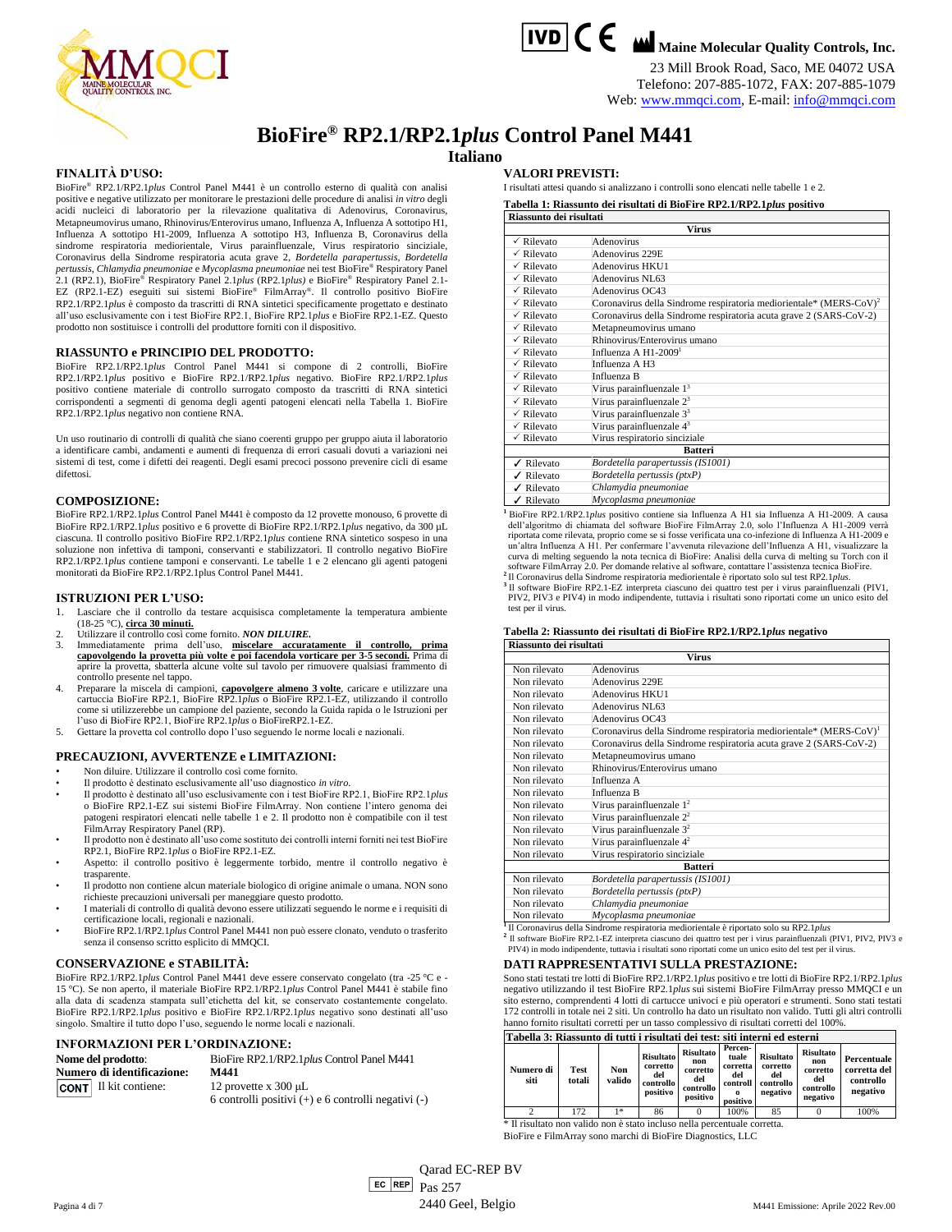

# **IVD C C M** Maine Molecular Quality Controls, Inc.

23 Mill Brook Road, Saco, ME 04072 USA Telefono: 207-885-1072, FAX: 207-885-1079

Web[: www.mmqci.com,](http://www.mmqci.com/) E-mail[: info@mmqci.com](mailto:info@mmqci.com)

**BioFire® RP2.1/RP2.1***plus* **Control Panel M441**

## **Italiano**

## **FINALITÀ D'USO:**

BioFire® RP2.1/RP2.1*plus* Control Panel M441 è un controllo esterno di qualità con analisi positive e negative utilizzato per monitorare le prestazioni delle procedure di analisi *in vitro* degli acidi nucleici di laboratorio per la rilevazione qualitativa di Adenovirus, Coronavirus, Metapneumovirus umano, Rhinovirus/Enterovirus umano, Influenza A, Influenza A sottotipo H1, Influenza A sottotipo H1-2009, Influenza A sottotipo H3, Influenza B, Coronavirus della sindrome respiratoria mediorientale, Virus parainfluenzale, Virus respiratorio sinciziale, Coronavirus della Sindrome respiratoria acuta grave 2, *Bordetella parapertussis, Bordetella pertussis*, *Chlamydia pneumoniae* e *Mycoplasma pneumoniae* nei test BioFire® Respiratory Panel 2.1 (RP2.1), BioFire® Respiratory Panel 2.1*plus* (RP2.1*plus)* e BioFire® Respiratory Panel 2.1- EZ (RP2.1-EZ) eseguiti sui sistemi BioFire® FilmArray® . Il controllo positivo BioFire RP2.1/RP2.1*plus* è composto da trascritti di RNA sintetici specificamente progettato e destinato all'uso esclusivamente con i test BioFire RP2.1, BioFire RP2.1*plus* e BioFire RP2.1-EZ. Questo prodotto non sostituisce i controlli del produttore forniti con il dispositivo.

#### **RIASSUNTO e PRINCIPIO DEL PRODOTTO:**

BioFire RP2.1/RP2.1*plus* Control Panel M441 si compone di 2 controlli, BioFire RP2.1/RP2.1*plus* positivo e BioFire RP2.1/RP2.1*plus* negativo. BioFire RP2.1/RP2.1*plus* positivo contiene materiale di controllo surrogato composto da trascritti di RNA sintetici corrispondenti a segmenti di genoma degli agenti patogeni elencati nella Tabella 1. BioFire RP2.1/RP2.1*plus* negativo non contiene RNA.

Un uso routinario di controlli di qualità che siano coerenti gruppo per gruppo aiuta il laboratorio a identificare cambi, andamenti e aumenti di frequenza di errori casuali dovuti a variazioni nei sistemi di test, come i difetti dei reagenti. Degli esami precoci possono prevenire cicli di esame difettosi.

#### **COMPOSIZIONE:**

BioFire RP2.1/RP2.1*plus* Control Panel M441 è composto da 12 provette monouso, 6 provette di BioFire RP2.1/RP2.1*plus* positivo e 6 provette di BioFire RP2.1/RP2.1*plus* negativo, da 300 µL ciascuna. Il controllo positivo BioFire RP2.1/RP2.1*plus* contiene RNA sintetico sospeso in una soluzione non infettiva di tamponi, conservanti e stabilizzatori. Il controllo negativo BioFire RP2.1/RP2.1*plus* contiene tamponi e conservanti. Le tabelle 1 e 2 elencano gli agenti patogeni monitorati da BioFire RP2.1/RP2.1plus Control Panel M441.

#### **ISTRUZIONI PER L'USO:**

- 1. Lasciare che il controllo da testare acquisisca completamente la temperatura ambiente (18-25 °C), **circa 30 minuti.**
- 
- 2. Utilizzare il controllo così come fornito. *NON DILUIRE.*<br>3. Immediatamente prima dell'uso, <u>miscelare accuratamente il controllo, prima</u><br><u>capovolgendo la provetta più volte e poi facendola vorticare per 3-5 secondi,</u> P aprire la provetta, sbatterla alcune volte sul tavolo per rimuovere qualsiasi frammento di controllo presente nel tappo.
- 4. Preparare la miscela di campioni, **capovolgere almeno 3 volte**, caricare e utilizzare una cartuccia BioFire RP2.1, BioFire RP2.1*plus* o BioFire RP2.1-EZ, utilizzando il controllo come si utilizzerebbe un campione del paziente, secondo la Guida rapida o le Istruzioni per
- l'uso di BioFire RP2.1, BioFire RP2.1*plus* o BioFireRP2.1-EZ. 5. Gettare la provetta col controllo dopo l'uso seguendo le norme locali e nazionali.

#### **PRECAUZIONI, AVVERTENZE e LIMITAZIONI:**

- Non diluire. Utilizzare il controllo così come fornito.
- Il prodotto è destinato esclusivamente all'uso diagnostico *in vitro*.
- Il prodotto è destinato all'uso esclusivamente con i test BioFire RP2.1, BioFire RP2.1*plus*  o BioFire RP2.1-EZ sui sistemi BioFire FilmArray. Non contiene l'intero genoma dei patogeni respiratori elencati nelle tabelle 1 e 2. Il prodotto non è compatibile con il test FilmArray Respiratory Panel (RP).
- Il prodotto non è destinato all'uso come sostituto dei controlli interni forniti nei test BioFire RP2.1, BioFire RP2.1*plus* o BioFire RP2.1-EZ.
- Aspetto: il controllo positivo è leggermente torbido, mentre il controllo negativo è trasparente.
- Il prodotto non contiene alcun materiale biologico di origine animale o umana. NON sono richieste precauzioni universali per maneggiare questo prodotto.
- I materiali di controllo di qualità devono essere utilizzati seguendo le norme e i requisiti di certificazione locali, regionali e nazionali.
- BioFire RP2.1/RP2.1*plus* Control Panel M441 non può essere clonato, venduto o trasferito senza il consenso scritto esplicito di MMQCI.

#### **CONSERVAZIONE e STABILITÀ:**

BioFire RP2.1/RP2.1*plus* Control Panel M441 deve essere conservato congelato (tra -25 °C e - 15 °C). Se non aperto, il materiale BioFire RP2.1/RP2.1*plus* Control Panel M441 è stabile fino alla data di scadenza stampata sull'etichetta del kit, se conservato costantemente congelato. BioFire RP2.1/RP2.1*plus* positivo e BioFire RP2.1/RP2.1*plus* negativo sono destinati all'uso singolo. Smaltire il tutto dopo l'uso, seguendo le norme locali e nazionali.

#### **INFORMAZIONI PER L'ORDINAZIONE:**

| Nome del prodotto:                | BioFire RP2.1/RP2.1plus Control Panel M441              |  |  |  |  |  |
|-----------------------------------|---------------------------------------------------------|--|--|--|--|--|
| <b>Numero di identificazione:</b> | M441                                                    |  |  |  |  |  |
| <b>CONT</b> Il kit contiene:      | 12 provette x $300 \mu L$                               |  |  |  |  |  |
|                                   | 6 controlli positivi $(+)$ e 6 controlli negativi $(-)$ |  |  |  |  |  |

#### **VALORI PREVISTI:**

I risultati attesi quando si analizzano i controlli sono elencati nelle tabelle 1 e 2.

**Tabella 1: Riassunto dei risultati di BioFire RP2.1/RP2.1***plus* **positivo Riassunto dei risultati**

|                       | <b>Virus</b>                                                                   |  |  |  |  |  |
|-----------------------|--------------------------------------------------------------------------------|--|--|--|--|--|
| $\checkmark$ Rilevato | Adenovirus                                                                     |  |  |  |  |  |
| $\checkmark$ Rilevato | Adenovirus 229E                                                                |  |  |  |  |  |
| $\checkmark$ Rilevato | Adenovirus HKU1                                                                |  |  |  |  |  |
| $\checkmark$ Rilevato | Adenovirus NL63                                                                |  |  |  |  |  |
| $\checkmark$ Rilevato | Adenovirus OC43                                                                |  |  |  |  |  |
| $\checkmark$ Rilevato | Coronavirus della Sindrome respiratoria mediorientale* (MERS-CoV) <sup>2</sup> |  |  |  |  |  |
| $\checkmark$ Rilevato | Coronavirus della Sindrome respiratoria acuta grave 2 (SARS-CoV-2)             |  |  |  |  |  |
| $\checkmark$ Rilevato | Metapneumovirus umano                                                          |  |  |  |  |  |
| $\checkmark$ Rilevato | Rhinovirus/Enterovirus umano                                                   |  |  |  |  |  |
| $\sqrt{R}$ ilevato    | Influenza A $H1-2009$ <sup>1</sup>                                             |  |  |  |  |  |
| $\checkmark$ Rilevato | Influenza A H3                                                                 |  |  |  |  |  |
| $\checkmark$ Rilevato | Influenza B                                                                    |  |  |  |  |  |
| $\checkmark$ Rilevato | Virus parainfluenzale $13$                                                     |  |  |  |  |  |
| $\checkmark$ Rilevato | Virus parainfluenzale $23$                                                     |  |  |  |  |  |
| $\sqrt{R}$ ilevato    | Virus parainfluenzale 3 <sup>3</sup>                                           |  |  |  |  |  |
| $\checkmark$ Rilevato | Virus parainfluenzale 4 <sup>3</sup>                                           |  |  |  |  |  |
| $\checkmark$ Rilevato | Virus respiratorio sinciziale                                                  |  |  |  |  |  |
|                       | <b>Batteri</b>                                                                 |  |  |  |  |  |
| √ Rilevato            | Bordetella parapertussis (IS1001)                                              |  |  |  |  |  |
| √ Rilevato            | Bordetella pertussis (ptxP)                                                    |  |  |  |  |  |
| Rilevato              | Chlamydia pneumoniae                                                           |  |  |  |  |  |
| ✔ Rilevato            | Mycoplasma pneumoniae                                                          |  |  |  |  |  |

**<sup>1</sup>**BioFire RP2.1/RP2.1*plus* positivo contiene sia Influenza A H1 sia Influenza A H1-2009. A causa dell'algoritmo di chiamata del software BioFire FilmArray 2.0, solo l'Influenza A H1-2009 riportata come rilevata, proprio come se si fosse verificata una co-infezione di Influenza A H1-2009 e<br>un'altra Influenza A H1. Per confermare l'avvenuta rilevazione dell'Influenza A H1, visualizzare la<br>curva di melting se

**<sup>2</sup>**Il Coronavirus della Sindrome respiratoria mediorientale è riportato solo sul test RP2.1*plus*. **3** Il software BioFire RP2.1-EZ interpreta ciascuno dei quattro test per i virus parainfluenzali (PIV1, PIV2, PIV3 e PIV4) in modo indipendente, tuttavia i risultati sono riportati come un unico esito del test per il virus.

#### **Tabella 2: Riassunto dei risultati di BioFire RP2.1/RP2.1***plus* **negativo Riassunto dei risultati**

|              | <b>Virus</b>                                                                   |  |  |  |  |  |
|--------------|--------------------------------------------------------------------------------|--|--|--|--|--|
| Non rilevato | Adenovirus                                                                     |  |  |  |  |  |
| Non rilevato | Adenovirus 229E                                                                |  |  |  |  |  |
| Non rilevato | Adenovirus HKU1                                                                |  |  |  |  |  |
| Non rilevato | Adenovirus NL63                                                                |  |  |  |  |  |
| Non rilevato | Adenovirus OC43                                                                |  |  |  |  |  |
| Non rilevato | Coronavirus della Sindrome respiratoria mediorientale* (MERS-CoV) <sup>1</sup> |  |  |  |  |  |
| Non rilevato | Coronavirus della Sindrome respiratoria acuta grave 2 (SARS-CoV-2)             |  |  |  |  |  |
| Non rilevato | Metapneumovirus umano                                                          |  |  |  |  |  |
| Non rilevato | Rhinovirus/Enterovirus umano                                                   |  |  |  |  |  |
| Non rilevato | Influenza A                                                                    |  |  |  |  |  |
| Non rilevato | Influenza B                                                                    |  |  |  |  |  |
| Non rilevato | Virus parainfluenzale $12$                                                     |  |  |  |  |  |
| Non rilevato | Virus parainfluenzale 2 <sup>2</sup>                                           |  |  |  |  |  |
| Non rilevato | Virus parainfluenzale 3 <sup>2</sup>                                           |  |  |  |  |  |
| Non rilevato | Virus parainfluenzale $42$                                                     |  |  |  |  |  |
| Non rilevato | Virus respiratorio sinciziale                                                  |  |  |  |  |  |
|              | <b>Batteri</b>                                                                 |  |  |  |  |  |
| Non rilevato | Bordetella parapertussis (IS1001)                                              |  |  |  |  |  |
| Non rilevato | Bordetella pertussis (ptxP)                                                    |  |  |  |  |  |
| Non rilevato | Chlamydia pneumoniae                                                           |  |  |  |  |  |
| Non rilevato | Mycoplasma pneumoniae                                                          |  |  |  |  |  |

**<sup>1</sup>**Il Coronavirus della Sindrome respiratoria mediorientale è riportato solo su RP2.1*plus*

<sup>2</sup> Il software BioFire RP2.1-EZ interpreta ciascuno dei quattro test per i virus parainfluenzali (PIV1, PIV2, PIV3 e<br>PIV4) in modo indipendente, tuttavia i risultati sono riportati come un unico esito del test per il viru

# **DATI RAPPRESENTATIVI SULLA PRESTAZIONE:**

Sono stati testati tre lotti di BioFire RP2.1/RP2.1*plus* positivo e tre lotti di BioFire RP2.1/RP2.1*plus* negativo utilizzando il test BioFire RP2.1*plus* sui sistemi BioFire FilmArray presso MMQCI e un sito esterno, comprendenti 4 lotti di cartucce univoci e più operatori e strumenti. Sono stati testati 172 controlli in totale nei 2 siti. Un controllo ha dato un risultato non valido. Tutti gli altri controlli hanno fornito risultati corretti per un tasso complessivo di risultati corretti del 100%.

| Tabella 3: Riassunto di tutti i risultati dei test: siti interni ed esterni |                |               |                                                              |                                                                     |                                                             |                                                              |                                                                     |                                                      |
|-----------------------------------------------------------------------------|----------------|---------------|--------------------------------------------------------------|---------------------------------------------------------------------|-------------------------------------------------------------|--------------------------------------------------------------|---------------------------------------------------------------------|------------------------------------------------------|
| Numero di<br>siti                                                           | Test<br>totali | Non<br>valido | <b>Risultato</b><br>corretto<br>del<br>controllo<br>positivo | <b>Risultato</b><br>non<br>corretto<br>del<br>controllo<br>positivo | Percen-<br>tuale<br>corretta<br>del<br>controll<br>positivo | <b>Risultato</b><br>corretto<br>del<br>controllo<br>negativo | <b>Risultato</b><br>non<br>corretto<br>del<br>controllo<br>negativo | Percentuale<br>corretta del<br>controllo<br>negativo |
| ↑                                                                           | 172            | $1*$          | 86                                                           |                                                                     | 100%                                                        | 85                                                           |                                                                     | 100%                                                 |
| * Il rigultoto non volido non è stato incluso nella percentuale corretta    |                |               |                                                              |                                                                     |                                                             |                                                              |                                                                     |                                                      |

\* Il risultato non valido non è stato incluso nella percentuale corretta. BioFire e FilmArray sono marchi di BioFire Diagnostics, LLC

 $\begin{array}{|c|c|c|}\n\hline\n\textbf{EC} & \textbf{REF} \\
\hline\n\end{array}$  Pagina 4 di 7 Qarad EC-REP BV Pas 257 2440 Geel, Belgio M441 Emissione: Aprile 2022 Rev.00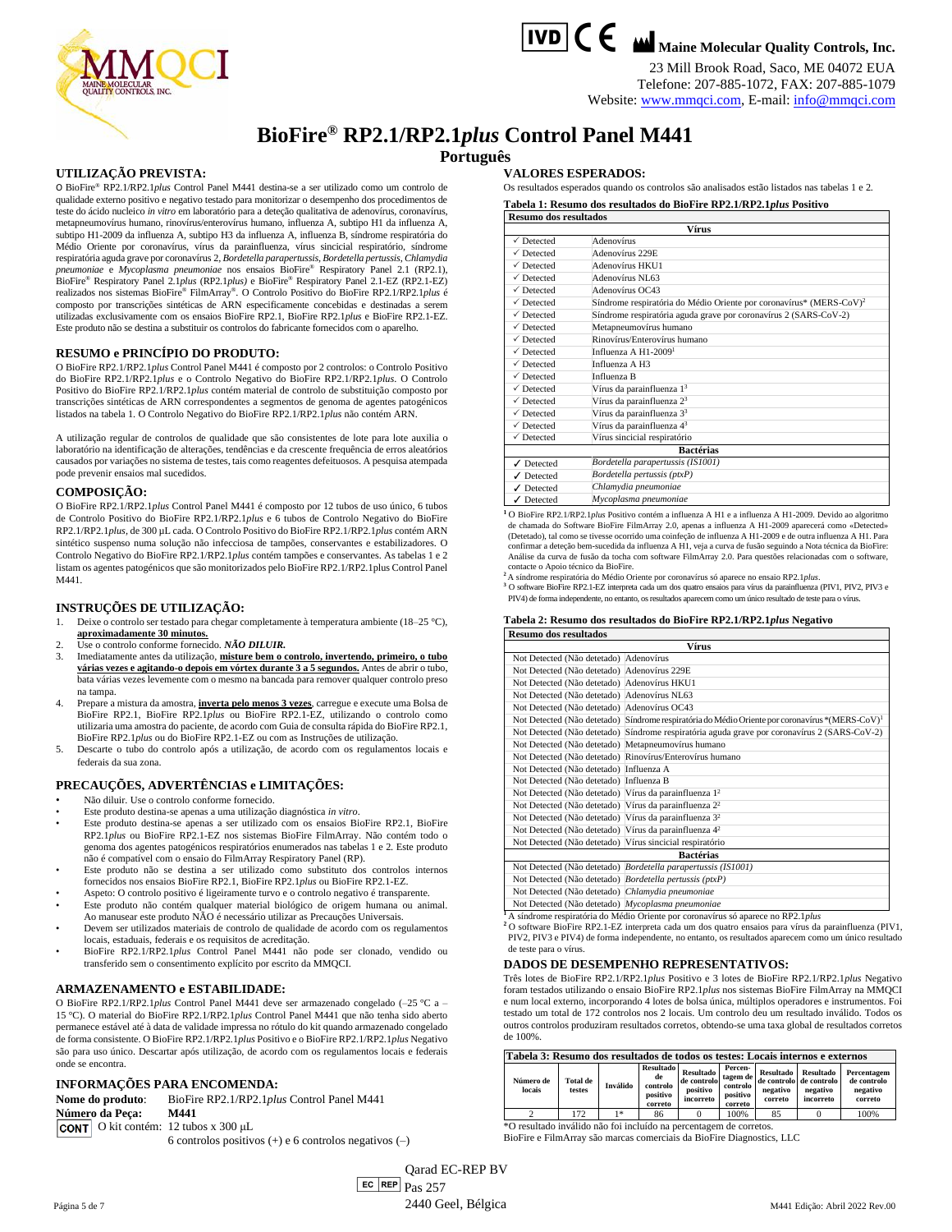

23 Mill Brook Road, Saco, ME 04072 EUA Telefone: 207-885-1072, FAX: 207-885-1079 Website[: www.mmqci.com,](http://www.mmqci.com/) E-mail[: info@mmqci.com](mailto:info@mmqci.com)



# **BioFire® RP2.1/RP2.1***plus* **Control Panel M441**

**Português**

#### **UTILIZAÇÃO PREVISTA:**

O BioFire® RP2.1/RP2.1*plus* Control Panel M441 destina-se a ser utilizado como um controlo de qualidade externo positivo e negativo testado para monitorizar o desempenho dos procedimentos de teste do ácido nucleico *in vitro* em laboratório para a deteção qualitativa de adenovírus, coronavírus, metapneumovírus humano, rinovírus/enterovírus humano, influenza A, subtipo H1 da influenza A, subtipo H1-2009 da influenza A, subtipo H3 da influenza A, influenza B, síndrome respiratória do Médio Oriente por coronavírus, vírus da parainfluenza, vírus sincicial respiratório, síndrome respiratória aguda grave por coronavírus 2, *Bordetella parapertussis, Bordetella pertussis*, *Chlamydia pneumoniae* e *Mycoplasma pneumoniae* nos ensaios BioFire® Respiratory Panel 2.1 (RP2.1), BioFire® Respiratory Panel 2.1*plus* (RP2.1*plus)* e BioFire® Respiratory Panel 2.1-EZ (RP2.1-EZ) realizados nos sistemas BioFire® FilmArray® . O Controlo Positivo do BioFire RP2.1/RP2.1*plus* é composto por transcrições sintéticas de ARN especificamente concebidas e destinadas a serem utilizadas exclusivamente com os ensaios BioFire RP2.1, BioFire RP2.1*plus* e BioFire RP2.1-EZ. Este produto não se destina a substituir os controlos do fabricante fornecidos com o aparelho.

#### **RESUMO e PRINCÍPIO DO PRODUTO:**

O BioFire RP2.1/RP2.1*plus* Control Panel M441 é composto por 2 controlos: o Controlo Positivo do BioFire RP2.1/RP2.1*plus* e o Controlo Negativo do BioFire RP2.1/RP2.1*plus*. O Controlo Positivo do BioFire RP2.1/RP2.1*plus* contém material de controlo de substituição composto por transcrições sintéticas de ARN correspondentes a segmentos de genoma de agentes patogénicos listados na tabela 1. O Controlo Negativo do BioFire RP2.1/RP2.1*plus* não contém ARN.

A utilização regular de controlos de qualidade que são consistentes de lote para lote auxilia o laboratório na identificação de alterações, tendências e da crescente frequência de erros aleatórios causados por variações no sistema de testes, tais como reagentes defeituosos. A pesquisa atempada pode prevenir ensaios mal sucedidos.

#### **COMPOSIÇÃO:**

O BioFire RP2.1/RP2.1*plus* Control Panel M441 é composto por 12 tubos de uso único, 6 tubos de Controlo Positivo do BioFire RP2.1/RP2.1*plus* e 6 tubos de Controlo Negativo do BioFire RP2.1/RP2.1*plus*, de 300 µL cada. O Controlo Positivo do BioFire RP2.1/RP2.1*plus* contém ARN sintético suspenso numa solução não infecciosa de tampões, conservantes e estabilizadores. O Controlo Negativo do BioFire RP2.1/RP2.1*plus* contém tampões e conservantes. As tabelas 1 e 2 listam os agentes patogénicos que são monitorizados pelo BioFire RP2.1/RP2.1plus Control Panel M441.

#### **INSTRUÇÕES DE UTILIZAÇÃO:**

- 1. Deixe o controlo ser testado para chegar completamente à temperatura ambiente (18–25 °C),
- **aproximadamente 30 minutos.** 2. Use o controlo conforme fornecido. *NÃO DILUIR.*
- 3. Imediatamente antes da utilização, **misture bem o controlo, invertendo, primeiro, o tubo várias vezes e agitando-o depois em vórtex durante 3 a 5 segundos.** Antes de abrir o tubo, bata várias vezes levemente com o mesmo na bancada para remover qualquer controlo preso na tampa.
- 4. Prepare a mistura da amostra, **inverta pelo menos 3 vezes**, carregue e execute uma Bolsa de BioFire RP2.1, BioFire RP2.1*plus* ou BioFire RP2.1-EZ, utilizando o controlo como utilizaria uma amostra do paciente, de acordo com Guia de consulta rápida do BioFire RP2.1, BioFire RP2.1*plus* ou do BioFire RP2.1-EZ ou com as Instruções de utilização.
- 5. Descarte o tubo do controlo após a utilização, de acordo com os regulamentos locais e federais da sua zona.

# **PRECAUÇÕES, ADVERTÊNCIAS e LIMITAÇÕES:**

- Não diluir. Use o controlo conforme fornecido.
- Este produto destina-se apenas a uma utilização diagnóstica *in vitro*.
- Este produto destina-se apenas a ser utilizado com os ensaios BioFire RP2.1, BioFire RP2.1*plus* ou BioFire RP2.1-EZ nos sistemas BioFire FilmArray. Não contém todo o genoma dos agentes patogénicos respiratórios enumerados nas tabelas 1 e 2. Este produto não é compatível com o ensaio do FilmArray Respiratory Panel (RP).
- Este produto não se destina a ser utilizado como substituto dos controlos internos fornecidos nos ensaios BioFire RP2.1, BioFire RP2.1*plus* ou BioFire RP2.1-EZ.
- Aspeto: O controlo positivo é ligeiramente turvo e o controlo negativo é transparente. • Este produto não contém qualquer material biológico de origem humana ou animal. Ao manusear este produto NÃO é necessário utilizar as Precauções Universais.
- Devem ser utilizados materiais de controlo de qualidade de acordo com os regulamentos
- locais, estaduais, federais e os requisitos de acreditação. • BioFire RP2.1/RP2.1*plus* Control Panel M441 não pode ser clonado, vendido ou transferido sem o consentimento explícito por escrito da MMQCI.

#### **ARMAZENAMENTO e ESTABILIDADE:**

O BioFire RP2.1/RP2.1*plus* Control Panel M441 deve ser armazenado congelado (–25 °C a – 15 °C). O material do BioFire RP2.1/RP2.1*plus* Control Panel M441 que não tenha sido aberto permanece estável até à data de validade impressa no rótulo do kit quando armazenado congelado de forma consistente. O BioFire RP2.1/RP2.1*plus* Positivo e o BioFire RP2.1/RP2.1*plus* Negativo são para uso único. Descartar após utilização, de acordo com os regulamentos locais e federais onde se encontra.

#### **INFORMAÇÕES PARA ENCOMENDA:**

**Nome do produto**: BioFire RP2.1/RP2.1*plus* Control Panel M441 **Número da Peça: M441** CONT O kit contém: 12 tubos x 300 μL

6 controlos positivos (+) e 6 controlos negativos (–)

**VALORES ESPERADOS:**

Os resultados esperados quando os controlos são analisados estão listados nas tabelas 1 e 2.

**Tabela 1: Resumo dos resultados do BioFire RP2.1/RP2.1***plus* **Positivo Resumo dos resultados**

|                               | <b>Vírus</b>                                                                    |  |  |  |  |  |
|-------------------------------|---------------------------------------------------------------------------------|--|--|--|--|--|
| $\sqrt{}$ Detected            | Adenovírus                                                                      |  |  |  |  |  |
| $\sqrt{}$ Detected            | Adenovírus 229E                                                                 |  |  |  |  |  |
| $\checkmark$ Detected         | Adenovírus HKU1                                                                 |  |  |  |  |  |
| $\sqrt{}$ Detected            | Adenovírus NL63                                                                 |  |  |  |  |  |
| $\sqrt{}$ Detected            | Adenovírus OC43                                                                 |  |  |  |  |  |
| $\sqrt{}$ Detected            | Síndrome respiratória do Médio Oriente por coronavírus* (MERS-CoV) <sup>2</sup> |  |  |  |  |  |
| $\sqrt{}$ Detected            | Síndrome respiratória aguda grave por coronavírus 2 (SARS-CoV-2)                |  |  |  |  |  |
| $\checkmark$ Detected         | Metapneumovírus humano                                                          |  |  |  |  |  |
| $\sqrt{}$ Detected            | Rinovírus/Enterovírus humano                                                    |  |  |  |  |  |
| $\checkmark$ Detected         | Influenza A H1-2009 <sup>1</sup>                                                |  |  |  |  |  |
| $\sqrt{}$ Detected            | Influenza A H3                                                                  |  |  |  |  |  |
| $\sqrt{}$ Detected            | Influenza B                                                                     |  |  |  |  |  |
| $\sqrt{}$ Detected            | Vírus da parainfluenza 1 <sup>3</sup>                                           |  |  |  |  |  |
| $\sqrt{}$ Detected            | Vírus da parainfluenza 2 <sup>3</sup>                                           |  |  |  |  |  |
| $\checkmark$ Detected         | Vírus da parainfluenza 3 <sup>3</sup>                                           |  |  |  |  |  |
| $\checkmark$ Detected         | Vírus da parainfluenza 43                                                       |  |  |  |  |  |
| $\checkmark$ Detected         | Vírus sincicial respiratório                                                    |  |  |  |  |  |
|                               | <b>Bactérias</b>                                                                |  |  |  |  |  |
| $\sqrt{}$ Detected            | Bordetella parapertussis (IS1001)                                               |  |  |  |  |  |
| $\sqrt{\phantom{a}}$ Detected | Bordetella pertussis (ptxP)                                                     |  |  |  |  |  |
| Detected<br>✓                 | Chlamydia pneumoniae                                                            |  |  |  |  |  |
| Detected                      | Mycoplasma pneumoniae                                                           |  |  |  |  |  |

<sup>1</sup>O BioFire RP2.1/RP2.1*plus* Positivo contém a influenza A H1 e a influenza A H1-2009. Devido ao algoritmo de chamada do Software BioFire FilmArray 2.0, apenas a influenza A H1-2009 aparecerá como «Detected» (Detetado), tal como se tivesse ocorrido uma coinfeção de influenza A H1-2009 e de outra influenza A H1. Para confirmar a deteção bem-sucedida da influenza A H1, veja a curva de fusão seguindo a Nota técnica da BioFire: Análise da curva de fusão da tocha com software FilmArray 2.0. Para questões relacionadas com o software, contacte o Apoio técnico da BioFire.

a<br>A síndrome respiratória do Médio Oriente por coronavírus só aparece no ensaio RP2.1 plus.<br><sup>3</sup> O software BioFire RP2.1-EZ interpreta cada um dos quatro ensaios para vírus da parainfluenza (PIV1, PIV2, PIV3 e

PIV4) de forma independente, no entanto, os resultados aparecem como um único resultado de teste para o vírus.

| Tabela 2: Resumo dos resultados do BioFire RP2.1/RP2.1plus Negativo |  |
|---------------------------------------------------------------------|--|
| Resumo dos resultados                                               |  |

| Vírus                                                             |                                                                                                             |  |  |  |
|-------------------------------------------------------------------|-------------------------------------------------------------------------------------------------------------|--|--|--|
| Not Detected (Não detetado) Adenovírus                            |                                                                                                             |  |  |  |
| Not Detected (Não detetado) Adenovírus 229E                       |                                                                                                             |  |  |  |
| Not Detected (Não detetado) Adenovírus HKU1                       |                                                                                                             |  |  |  |
| Not Detected (Não detetado) Adenovírus NL63                       |                                                                                                             |  |  |  |
| Not Detected (Não detetado) Adenovírus OC43                       |                                                                                                             |  |  |  |
|                                                                   | Not Detected (Não detetado) Síndrome respiratória do Médio Oriente por coronavírus *(MERS-CoV) <sup>1</sup> |  |  |  |
|                                                                   | Not Detected (Não detetado) Síndrome respiratória aguda grave por coronavírus 2 (SARS-CoV-2)                |  |  |  |
| Not Detected (Não detetado) Metapneumovírus humano                |                                                                                                             |  |  |  |
|                                                                   | Not Detected (Não detetado) Rinovírus/Enterovírus humano                                                    |  |  |  |
| Not Detected (Não detetado) Influenza A                           |                                                                                                             |  |  |  |
| Not Detected (Não detetado) Influenza B                           |                                                                                                             |  |  |  |
| Not Detected (Não detetado) Vírus da parainfluenza 1 <sup>2</sup> |                                                                                                             |  |  |  |
| Not Detected (Não detetado) Vírus da parainfluenza 2 <sup>2</sup> |                                                                                                             |  |  |  |
| Not Detected (Não detetado) Vírus da parainfluenza 3 <sup>2</sup> |                                                                                                             |  |  |  |
| Not Detected (Não detetado) Vírus da parainfluenza 4 <sup>2</sup> |                                                                                                             |  |  |  |
| Not Detected (Não detetado) Vírus sincicial respiratório          |                                                                                                             |  |  |  |
| <b>Bactérias</b>                                                  |                                                                                                             |  |  |  |
|                                                                   | Not Detected (Não detetado) Bordetella parapertussis (IS1001)                                               |  |  |  |
| Not Detected (Não detetado) Bordetella pertussis (ptxP)           |                                                                                                             |  |  |  |
| Not Detected (Não detetado) Chlamydia pneumoniae                  |                                                                                                             |  |  |  |
| Not Detected (Não detetado) Mycoplasma pneumoniae                 |                                                                                                             |  |  |  |

**<sup>1</sup>**A síndrome respiratória do Médio Oriente por coronavírus só aparece no RP2.1*plus* **<sup>2</sup>** O software BioFire RP2.1-EZ interpreta cada um dos quatro ensaios para vírus da parainfluenza (PIV1, PIV2, PIV3 e PIV4) de forma independente, no entanto, os resultados aparecem como um único resultado de teste para o vírus.

#### **DADOS DE DESEMPENHO REPRESENTATIVOS:**

Três lotes de BioFire RP2.1/RP2.1*plus* Positivo e 3 lotes de BioFire RP2.1/RP2.1*plus* Negativo foram testados utilizando o ensaio BioFire RP2.1*plus* nos sistemas BioFire FilmArray na MMQCI e num local externo, incorporando 4 lotes de bolsa única, múltiplos operadores e instrumentos. Foi testado um total de 172 controlos nos 2 locais. Um controlo deu um resultado inválido. Todos os outros controlos produziram resultados corretos, obtendo-se uma taxa global de resultados corretos de 100%.

| Tabela 3: Resumo dos resultados de todos os testes: Locais internos e externos |                    |          |                                                           |                                                          |                                                        |                                         |                                                                      |                                                   |
|--------------------------------------------------------------------------------|--------------------|----------|-----------------------------------------------------------|----------------------------------------------------------|--------------------------------------------------------|-----------------------------------------|----------------------------------------------------------------------|---------------------------------------------------|
| Número de<br>locais                                                            | Total de<br>testes | Inválido | <b>Resultado</b><br>de<br>controlo<br>positivo<br>correto | <b>Resultado</b><br>de controlo<br>positivo<br>incorreto | Percen-<br>tagem de<br>controlo<br>positivo<br>correto | <b>Resultado</b><br>negativo<br>correto | <b>Resultado</b><br>de controlo de controlo<br>negativo<br>incorreto | Percentagem<br>de controlo<br>negativo<br>correto |
|                                                                                | 172                | $1*$     | 86                                                        |                                                          | 100%                                                   | 85                                      |                                                                      | 100%                                              |

\*O resultado inválido não foi incluído na percentagem de corretos. BioFire e FilmArray são marcas comerciais da BioFire Diagnostics, LLC

Página 5 de 7 **EC REP** Qarad EC-REP BV  $\boxed{\text{ec}$  REP  $\boxed{\text{Pa}}$  257 2440 Geel, Bélgica M441 Edição: Abril 2022 Rev.00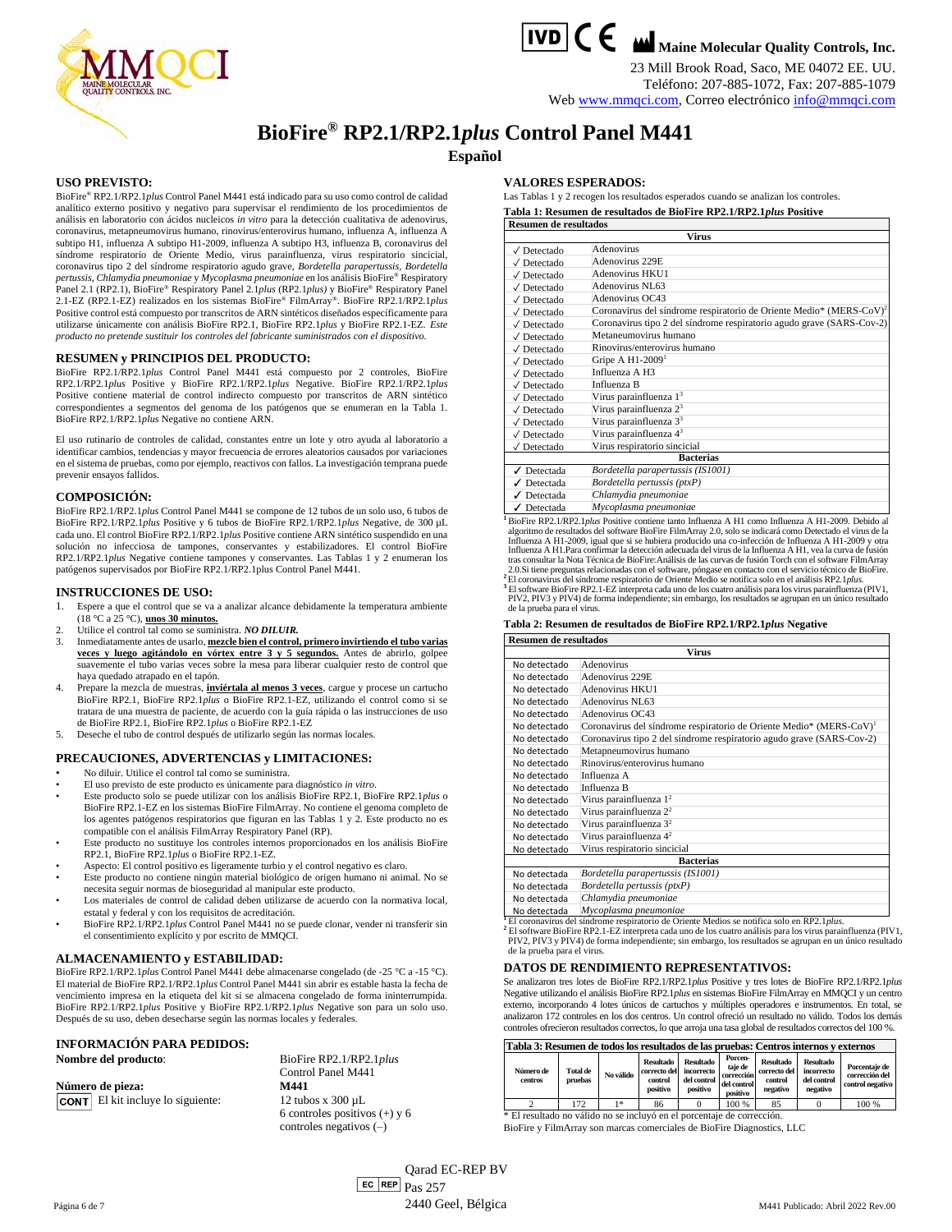



**TVD C C M** Maine Molecular Quality Controls, Inc.

23 Mill Brook Road, Saco, ME 04072 EE. UU. Teléfono: 207-885-1072, Fax: 207-885-1079

Web [www.mmqci.com,](http://www.mmqci.com/) Correo electrónic[o info@mmqci.com](mailto:info@mmqci.com)

# **BioFire® RP2.1/RP2.1***plus* **Control Panel M441**

**Español**

#### **USO PREVISTO:**

BioFire® RP2.1/RP2.1*plus* Control Panel M441 está indicado para su uso como control de calidad analítico externo positivo y negativo para supervisar el rendimiento de los procedimientos de análisis en laboratorio con ácidos nucleicos *in vitro* para la detección cualitativa de adenovirus, coronavirus, metapneumovirus humano, rinovirus/enterovirus humano, influenza A, influenza A subtipo H1, influenza A subtipo H1-2009, influenza A subtipo H3, influenza B, coronavirus del síndrome respiratorio de Oriente Medio, virus parainfluenza, virus respiratorio sincicial, coronavirus tipo 2 del síndrome respiratorio agudo grave, *Bordetella parapertussis, Bordetella pertussis*, *Chlamydia pneumoniae* y *Mycoplasma pneumoniae* en los análisis BioFire® Respiratory Panel 2.1 (RP2.1), BioFire® Respiratory Panel 2.1*plus* (RP2.1*plus)* y BioFire® Respiratory Panel 2.1-EZ (RP2.1-EZ) realizados en los sistemas BioFire® FilmArray® . BioFire RP2.1/RP2.1*plus* Positive control está compuesto por transcritos de ARN sintéticos diseñados específicamente para utilizarse únicamente con análisis BioFire RP2.1, BioFire RP2.1*plus* y BioFire RP2.1-EZ. *Este producto no pretende sustituir los controles del fabricante suministrados con el dispositivo.*

#### **RESUMEN y PRINCIPIOS DEL PRODUCTO:**

BioFire RP2.1/RP2.1*plus* Control Panel M441 está compuesto por 2 controles, BioFire RP2.1/RP2.1*plus* Positive y BioFire RP2.1/RP2.1*plus* Negative. BioFire RP2.1/RP2.1*plus* Positive contiene material de control indirecto compuesto por transcritos de ARN sintético correspondientes a segmentos del genoma de los patógenos que se enumeran en la Tabla 1. BioFire RP2.1/RP2.1*plus* Negative no contiene ARN.

El uso rutinario de controles de calidad, constantes entre un lote y otro ayuda al laboratorio a identificar cambios, tendencias y mayor frecuencia de errores aleatorios causados por variaciones en el sistema de pruebas, como por ejemplo, reactivos con fallos. La investigación temprana puede prevenir ensayos fallidos.

#### **COMPOSICIÓN:**

BioFire RP2.1/RP2.1*plus* Control Panel M441 se compone de 12 tubos de un solo uso, 6 tubos de BioFire RP2.1/RP2.1*plus* Positive y 6 tubos de BioFire RP2.1/RP2.1*plus* Negative, de 300 µL cada uno. El control BioFire RP2.1/RP2.1*plus* Positive contiene ARN sintético suspendido en una solución no infecciosa de tampones, conservantes y estabilizadores. El control BioFire RP2.1/RP2.1*plus* Negative contiene tampones y conservantes. Las Tablas 1 y 2 enumeran los patógenos supervisados por BioFire RP2.1/RP2.1plus Control Panel M441.

#### **INSTRUCCIONES DE USO:**

1. Espere a que el control que se va a analizar alcance debidamente la temperatura ambiente

- (18 °C a 25 °C), **unos 30 minutos.** 2. Utilice el control tal como se suministra. *NO DILUIR.*
- 
- 3. Inmediatamente antes de usarlo, **mezcle bien el control, primero invirtiendo el tubo varias veces y luego agitándolo en vórtex entre 3 y 5 segundos.** Antes de abrirlo, golpee suavemente el tubo varias veces sobre la mesa para liberar cualquier resto de control que haya quedado atrapado en el tapón.
- 4. Prepare la mezcla de muestras, **inviértala al menos 3 veces**, cargue y procese un cartucho BioFire RP2.1, BioFire RP2.1*plus* o BioFire RP2.1-EZ, utilizando el control como si se tratara de una muestra de paciente, de acuerdo con la guía rápida o las instrucciones de uso de BioFire RP2.1, BioFire RP2.1*plus* o BioFire RP2.1-EZ
- 5. Deseche el tubo de control después de utilizarlo según las normas locales.

## **PRECAUCIONES, ADVERTENCIAS y LIMITACIONES:**

- No diluir. Utilice el control tal como se suministra.
- El uso previsto de este producto es únicamente para diagnóstico *in vitro*.
- Este producto solo se puede utilizar con los análisis BioFire RP2.1, BioFire RP2.1*plus* o BioFire RP2.1-EZ en los sistemas BioFire FilmArray. No contiene el genoma completo de los agentes patógenos respiratorios que figuran en las Tablas 1 y 2. Este producto no es<br>compatible con el análisis FilmArray Respiratory Panel (RP).<br>Este producto no sustituye los controles internos proporcionados en los
- RP2.1, BioFire RP2.1*plus* o BioFire RP2.1-EZ.
- Aspecto: El control positivo es ligeramente turbio y el control negativo es claro.
- Este producto no contiene ningún material biológico de origen humano ni animal. No se necesita seguir normas de bioseguridad al manipular este producto.
- Los materiales de control de calidad deben utilizarse de acuerdo con la normativa local, estatal y federal y con los requisitos de acreditación.
- BioFire RP2.1/RP2.1*plus* Control Panel M441 no se puede clonar, vender ni transferir sin el consentimiento explícito y por escrito de MMQCI.

# **ALMACENAMIENTO y ESTABILIDAD:**

BioFire RP2.1/RP2.1*plus* Control Panel M441 debe almacenarse congelado (de -25 °C a -15 °C). El material de BioFire RP2.1/RP2.1*plus* Control Panel M441 sin abrir es estable hasta la fecha de vencimiento impresa en la etiqueta del kit si se almacena congelado de forma ininterrumpida. BioFire RP2.1/RP2.1*plus* Positive y BioFire RP2.1/RP2.1*plus* Negative son para un solo uso. Después de su uso, deben desecharse según las normas locales y federales.

# **INFORMACIÓN PARA PEDIDOS:**

|  |  |  |  | Nombre del producto: |
|--|--|--|--|----------------------|
|--|--|--|--|----------------------|

**Número de pieza: M441** El kit incluye lo siguiente: 12 tubos x 300 µL

Control Panel M441 6 controles positivos (+) y 6 controles negativos (–)

**Nombre del producto**: BioFire RP2.1/RP2.1*plus*

#### **VALORES ESPERADOS:**

Las Tablas 1 y 2 recogen los resultados esperados cuando se analizan los controles. **Tabla 1: Resumen de resultados de BioFire RP2.1/RP2.1***plus* **Positive**

| <b>Resumen de resultados</b>   |                                                                                 |  |  |  |
|--------------------------------|---------------------------------------------------------------------------------|--|--|--|
|                                | <b>Virus</b>                                                                    |  |  |  |
| $\sqrt{\phantom{a}}$ Detectado | Adenovirus                                                                      |  |  |  |
| $\sqrt{\phantom{a}}$ Detectado | Adenovirus 229E                                                                 |  |  |  |
| $\sqrt{\phantom{a}}$ Detectado | Adenovirus HKU1                                                                 |  |  |  |
| $\sqrt{\phantom{a}}$ Detectado | Adenovirus NL63                                                                 |  |  |  |
| $\sqrt{\phantom{a}}$ Detectado | Adenovirus OC43                                                                 |  |  |  |
| $\sqrt{}$ Detectado            | Coronavirus del síndrome respiratorio de Oriente Medio* (MERS-CoV) <sup>2</sup> |  |  |  |
| $\sqrt{\phantom{a}}$ Detectado | Coronavirus tipo 2 del síndrome respiratorio agudo grave (SARS-Cov-2)           |  |  |  |
| $\sqrt{}$ Detectado            | Metaneumovirus humano                                                           |  |  |  |
| $\sqrt{}$ Detectado            | Rinovirus/enterovirus humano                                                    |  |  |  |
| $\sqrt{}$ Detectado            | Gripe A $H1-20091$                                                              |  |  |  |
| $\sqrt{}$ Detectado            | Influenza A H3                                                                  |  |  |  |
| $\sqrt{}$ Detectado            | Influenza B                                                                     |  |  |  |
| $\sqrt{\phantom{a}}$ Detectado | Virus parainfluenza 1 <sup>3</sup>                                              |  |  |  |
| $\sqrt{}$ Detectado            | Virus parainfluenza $23$                                                        |  |  |  |
| $\sqrt{\phantom{a}}$ Detectado | Virus parainfluenza 3 <sup>3</sup>                                              |  |  |  |
| $\sqrt{\phantom{a}}$ Detectado | Virus parainfluenza 4 <sup>3</sup>                                              |  |  |  |
| $\sqrt{}$ Detectado            | Virus respiratorio sincicial                                                    |  |  |  |
|                                | <b>Bacterias</b>                                                                |  |  |  |
| $\sqrt{\phantom{a}}$ Detectada | Bordetella parapertussis (IS1001)                                               |  |  |  |
| $\sqrt{\phantom{a}}$ Detectada | Bordetella pertussis (ptxP)                                                     |  |  |  |
| ✔ Detectada                    | Chlamydia pneumoniae                                                            |  |  |  |
|                                |                                                                                 |  |  |  |

✓ Detectada *Mycoplasma pneumoniae*

**<sup>1</sup>**BioFire RP2.1/RP2.1*plus* Positive contiene tanto Influenza A H1 como Influenza A H1-2009. Debido al algoritmo de resultados del software BioFire FilmArray 2.0, solo se indicará como Detectado el virus de la<br>Influenza A H1-2009, i gual que si se hubiera producido una co-infección de Influenza A H1-2009 y otra<br>Influenza A tras consultar la Nota Técnica de BioFire:Análisis de las curvas de fusión Torch con el software FilmArray 2.0.Si tiene preguntas relacionadas con el software, póngase en contacto con el servicio técnico de BioFire. **<sup>2</sup>**El coronavirus del síndrome respiratorio de Oriente Medio se notifica solo en el análisis RP2.1*plus*.

<sup>3</sup> El software BioFire RP2.1-EZ interpreta cada uno de los cuatro análisis para los virus parainfluenza (PIV1, PIV1, PIV1, per los contratorios de la primeira del primeira de la primeira de la primeira de la primeira de l

#### **Tabla 2: Resumen de resultados de BioFire RP2.1/RP2.1***plus* **Negative**

| <b>Resumen de resultados</b> |                                                                                 |  |  |  |  |  |
|------------------------------|---------------------------------------------------------------------------------|--|--|--|--|--|
|                              | <b>Virus</b>                                                                    |  |  |  |  |  |
| No detectado                 | Adenovirus                                                                      |  |  |  |  |  |
| No detectado                 | Adenovirus 229E                                                                 |  |  |  |  |  |
| No detectado                 | Adenovirus HKU1                                                                 |  |  |  |  |  |
| No detectado                 | Adenovirus NL63                                                                 |  |  |  |  |  |
| No detectado                 | Adenovirus OC43                                                                 |  |  |  |  |  |
| No detectado                 | Coronavirus del síndrome respiratorio de Oriente Medio* (MERS-CoV) <sup>1</sup> |  |  |  |  |  |
| No detectado                 | Coronavirus tipo 2 del síndrome respiratorio agudo grave (SARS-Cov-2)           |  |  |  |  |  |
| No detectado                 | Metapneumovirus humano                                                          |  |  |  |  |  |
| No detectado                 | Rinovirus/enterovirus humano                                                    |  |  |  |  |  |
| No detectado                 | Influenza A                                                                     |  |  |  |  |  |
| No detectado                 | Influenza B                                                                     |  |  |  |  |  |
| No detectado                 | Virus parainfluenza $12$                                                        |  |  |  |  |  |
| No detectado                 | Virus parainfluenza 2 <sup>2</sup>                                              |  |  |  |  |  |
| No detectado                 | Virus parainfluenza $3^2$                                                       |  |  |  |  |  |
| No detectado                 | Virus parainfluenza $4^2$                                                       |  |  |  |  |  |
| No detectado                 | Virus respiratorio sincicial                                                    |  |  |  |  |  |
| <b>Bacterias</b>             |                                                                                 |  |  |  |  |  |
| No detectada                 | Bordetella parapertussis (IS1001)                                               |  |  |  |  |  |
| No detectada                 | Bordetella pertussis (ptxP)                                                     |  |  |  |  |  |
| No detectada                 | Chlamydia pneumoniae                                                            |  |  |  |  |  |
| No detectada                 | Mycoplasma pneumoniae                                                           |  |  |  |  |  |
| El coronavirus del           | síndrome respiratorio de Oriente Medios se notifica solo en RP2 1 plus          |  |  |  |  |  |

<sup>1</sup> El coronavirus del síndrome respiratorio de Oriente Medios se notifica solo en RP2.1*plus.*<br><sup>1</sup> El software BioFire RP2.1-EZ interpreta cada uno de los cuatro análisis para los virus parainfluenza (PIV1,<br>PIV2, PIV3 y P de la prueba para el virus.

#### **DATOS DE RENDIMIENTO REPRESENTATIVOS:**

Se analizaron tres lotes de BioFire RP2.1/RP2.1*plus* Positive y tres lotes de BioFire RP2.1/RP2.1*plus* Negative utilizando el análisis BioFire RP2.1*plus* en sistemas BioFire FilmArray en MMQCI y un centro externo, incorporando 4 lotes únicos de cartuchos y múltiples operadores e instrumentos. En total, se analizaron 172 controles en los dos centros. Un control ofreció un resultado no válido. Todos los demás controles ofrecieron resultados correctos, lo que arroja una tasa global de resultados correctos del 100 %.

#### **Tabla 3: Resumen de todos los resultados de las pruebas: Centros internos y externos**

| TROM OF INCOMING WE WAVE IGO I COMMUNE OF INFORMER COMMUNITION TENGTHOD I VANDING |                     |           |                                                         |                                                           |                                                             |                                                         |                                                           |                                                     |
|-----------------------------------------------------------------------------------|---------------------|-----------|---------------------------------------------------------|-----------------------------------------------------------|-------------------------------------------------------------|---------------------------------------------------------|-----------------------------------------------------------|-----------------------------------------------------|
| Número de<br>centros                                                              | Total de<br>pruebas | No válido | <b>Resultado</b><br>correcto del<br>control<br>positivo | <b>Resultado</b><br>incorrecto<br>del control<br>positivo | Porcen-<br>taie de<br>corrección<br>del control<br>positivo | <b>Resultado</b><br>correcto del<br>control<br>negativo | <b>Resultado</b><br>incorrecto<br>del control<br>negativo | Porcentaie de<br>corrección del<br>control negativo |
|                                                                                   | 72                  | $1*$      | 86                                                      |                                                           | 100 %                                                       | 85                                                      |                                                           | 100 %                                               |

\* El resultado no válido no se incluyó en el porcentaje de corrección. BioFire y FilmArray son marcas comerciales de BioFire Diagnostics, LLC

 $P$ ágina 6 de 7 Qarad EC-REP BV  $\boxed{\mathsf{ec}}$  REP  $\boxed{\mathsf{Pa}}$ s 257